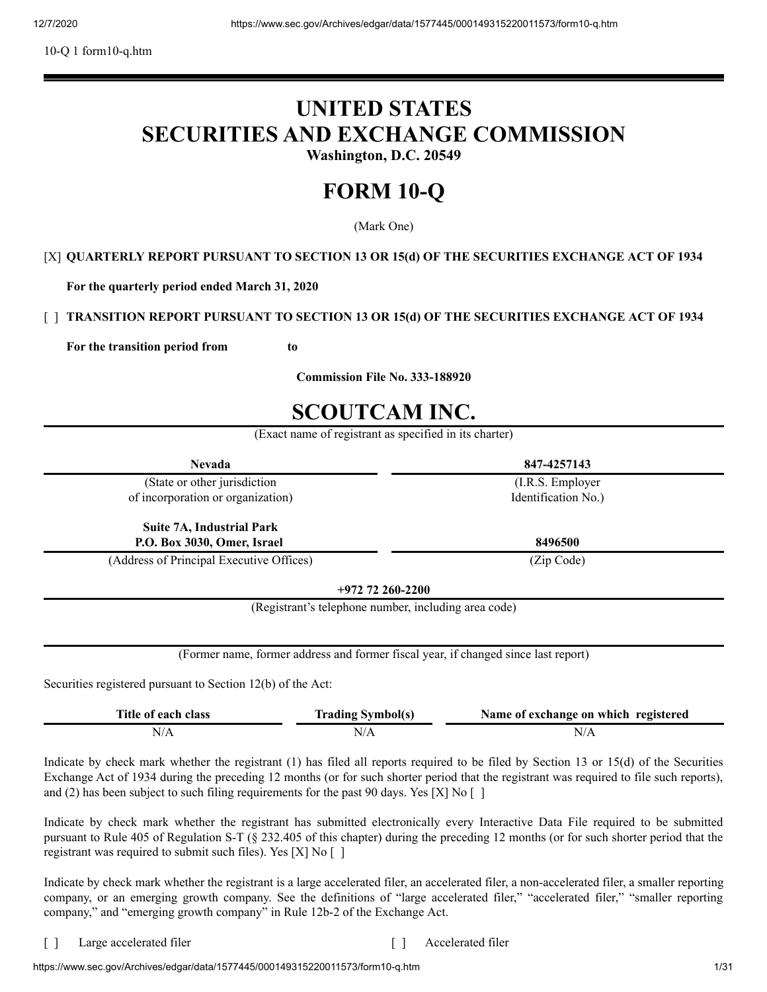10-Q 1 form10-q.htm

# **UNITED STATES SECURITIES AND EXCHANGE COMMISSION**

**Washington, D.C. 20549**

# **FORM 10-Q**

(Mark One)

# [X] **QUARTERLY REPORT PURSUANT TO SECTION 13 OR 15(d) OF THE SECURITIES EXCHANGE ACT OF 1934**

**For the quarterly period ended March 31, 2020**

# [ ] **TRANSITION REPORT PURSUANT TO SECTION 13 OR 15(d) OF THE SECURITIES EXCHANGE ACT OF 1934**

**For the transition period from to** 

**Commission File No. 333-188920**

# **SCOUTCAM INC.**

(Exact name of registrant as specified in its charter)

| <b>Nevada</b>                                               |                                                      | 847-4257143                                                                        |
|-------------------------------------------------------------|------------------------------------------------------|------------------------------------------------------------------------------------|
| (State or other jurisdiction                                |                                                      | (I.R.S. Employer                                                                   |
| of incorporation or organization)                           |                                                      | Identification No.)                                                                |
| <b>Suite 7A, Industrial Park</b>                            |                                                      |                                                                                    |
| P.O. Box 3030, Omer, Israel                                 |                                                      | 8496500                                                                            |
| (Address of Principal Executive Offices)                    |                                                      | (Zip Code)                                                                         |
|                                                             | $+972$ 72 260-2200                                   |                                                                                    |
|                                                             | (Registrant's telephone number, including area code) |                                                                                    |
|                                                             |                                                      |                                                                                    |
|                                                             |                                                      | (Former name, former address and former fiscal year, if changed since last report) |
| Securities registered pursuant to Section 12(b) of the Act: |                                                      |                                                                                    |
| Title of each class                                         | <b>Trading Symbol(s)</b>                             | Name of exchange on which registered                                               |
| N/A                                                         | N/A                                                  | N/A                                                                                |

Indicate by check mark whether the registrant (1) has filed all reports required to be filed by Section 13 or 15(d) of the Securities Exchange Act of 1934 during the preceding 12 months (or for such shorter period that the registrant was required to file such reports), and (2) has been subject to such filing requirements for the past 90 days. Yes [X] No  $\lbrack$   $\rbrack$ 

Indicate by check mark whether the registrant has submitted electronically every Interactive Data File required to be submitted pursuant to Rule 405 of Regulation S-T (§ 232.405 of this chapter) during the preceding 12 months (or for such shorter period that the registrant was required to submit such files). Yes [X] No [ ]

Indicate by check mark whether the registrant is a large accelerated filer, an accelerated filer, a non-accelerated filer, a smaller reporting company, or an emerging growth company. See the definitions of "large accelerated filer," "accelerated filer," "smaller reporting company," and "emerging growth company" in Rule 12b-2 of the Exchange Act.

[ ] Large accelerated filer [ ] Accelerated filer

https://www.sec.gov/Archives/edgar/data/1577445/000149315220011573/form10-g.htm 1/31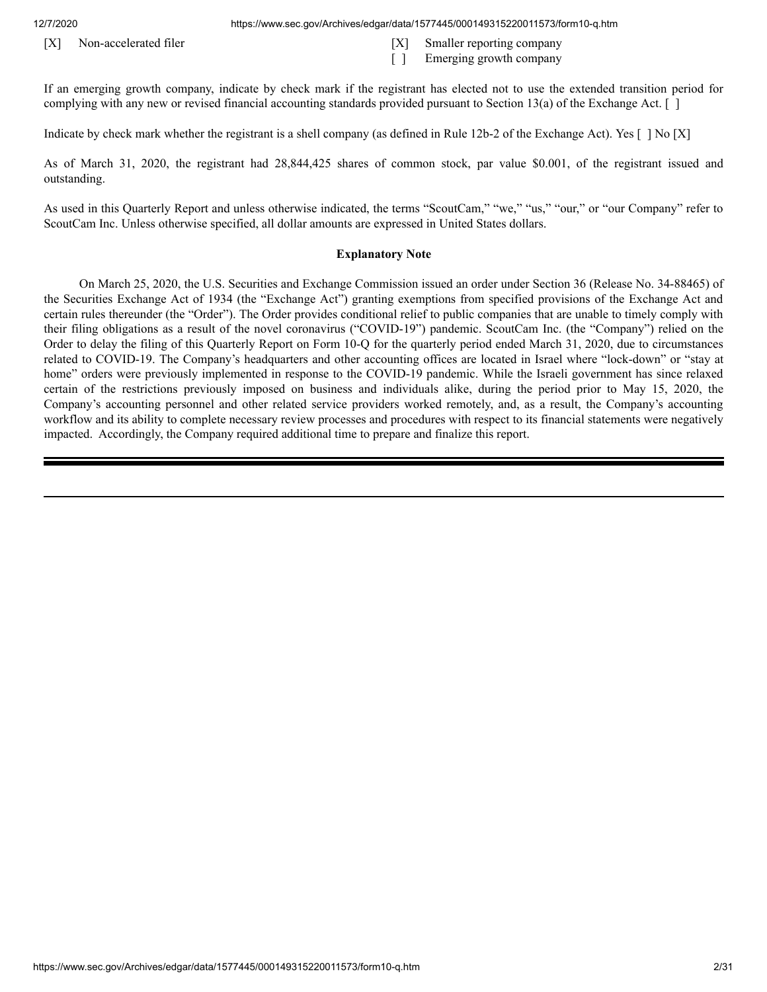12/7/2020 https://www.sec.gov/Archives/edgar/data/1577445/000149315220011573/form10-q.htm

- [X] Non-accelerated filer [X] Smaller reporting company
	- [ ] Emerging growth company

If an emerging growth company, indicate by check mark if the registrant has elected not to use the extended transition period for complying with any new or revised financial accounting standards provided pursuant to Section 13(a) of the Exchange Act. [ ]

Indicate by check mark whether the registrant is a shell company (as defined in Rule 12b-2 of the Exchange Act). Yes [ ] No [X]

As of March 31, 2020, the registrant had 28,844,425 shares of common stock, par value \$0.001, of the registrant issued and outstanding.

As used in this Quarterly Report and unless otherwise indicated, the terms "ScoutCam," "we," "us," "our," or "our Company" refer to ScoutCam Inc. Unless otherwise specified, all dollar amounts are expressed in United States dollars.

#### **Explanatory Note**

On March 25, 2020, the U.S. Securities and Exchange Commission issued an order under Section 36 (Release No. 34-88465) of the Securities Exchange Act of 1934 (the "Exchange Act") granting exemptions from specified provisions of the Exchange Act and certain rules thereunder (the "Order"). The Order provides conditional relief to public companies that are unable to timely comply with their filing obligations as a result of the novel coronavirus ("COVID-19") pandemic. ScoutCam Inc. (the "Company") relied on the Order to delay the filing of this Quarterly Report on Form 10-Q for the quarterly period ended March 31, 2020, due to circumstances related to COVID-19. The Company's headquarters and other accounting offices are located in Israel where "lock-down" or "stay at home" orders were previously implemented in response to the COVID-19 pandemic. While the Israeli government has since relaxed certain of the restrictions previously imposed on business and individuals alike, during the period prior to May 15, 2020, the Company's accounting personnel and other related service providers worked remotely, and, as a result, the Company's accounting workflow and its ability to complete necessary review processes and procedures with respect to its financial statements were negatively impacted. Accordingly, the Company required additional time to prepare and finalize this report.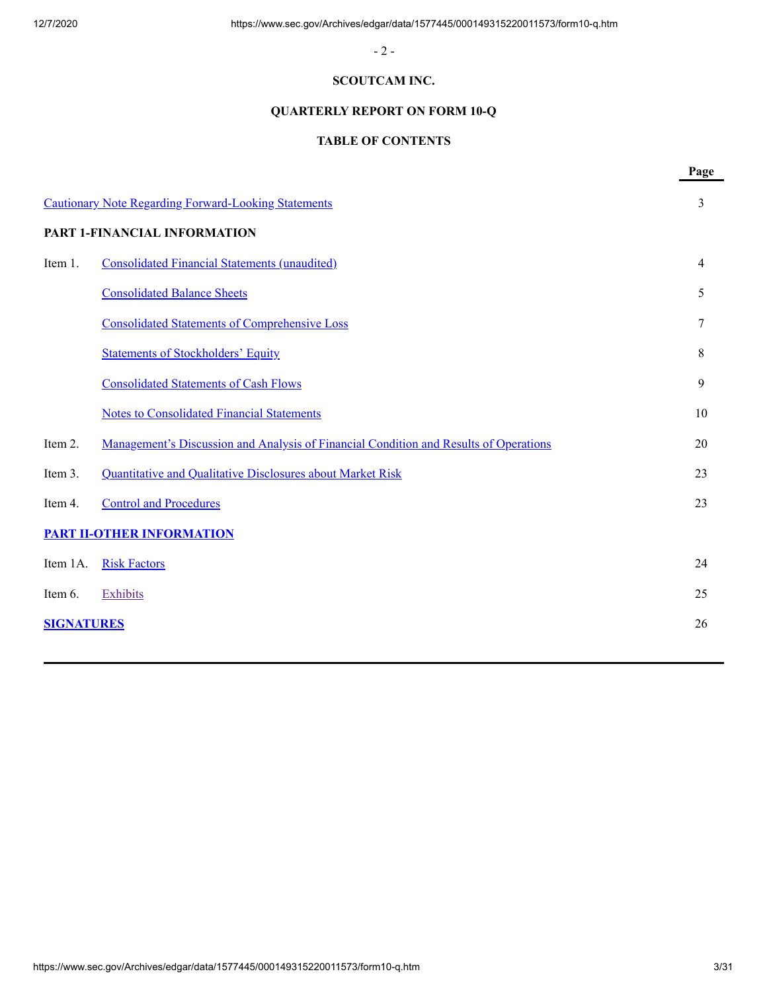- 2 -

# **SCOUTCAM INC.**

# **QUARTERLY REPORT ON FORM 10-Q**

# **TABLE OF CONTENTS**

|                   |                                                                                       | Page |
|-------------------|---------------------------------------------------------------------------------------|------|
|                   | <b>Cautionary Note Regarding Forward-Looking Statements</b>                           | 3    |
|                   | PART 1-FINANCIAL INFORMATION                                                          |      |
| Item 1.           | <b>Consolidated Financial Statements (unaudited)</b>                                  | 4    |
|                   | <b>Consolidated Balance Sheets</b>                                                    | 5    |
|                   | <b>Consolidated Statements of Comprehensive Loss</b>                                  | 7    |
|                   | <b>Statements of Stockholders' Equity</b>                                             | 8    |
|                   | <b>Consolidated Statements of Cash Flows</b>                                          | 9    |
|                   | <b>Notes to Consolidated Financial Statements</b>                                     | 10   |
| Item 2.           | Management's Discussion and Analysis of Financial Condition and Results of Operations | 20   |
| Item 3.           | Quantitative and Qualitative Disclosures about Market Risk                            | 23   |
| Item 4.           | <b>Control and Procedures</b>                                                         | 23   |
|                   | <b>PART II-OTHER INFORMATION</b>                                                      |      |
| Item 1A.          | <b>Risk Factors</b>                                                                   | 24   |
| Item 6.           | <b>Exhibits</b>                                                                       | 25   |
| <b>SIGNATURES</b> |                                                                                       | 26   |
|                   |                                                                                       |      |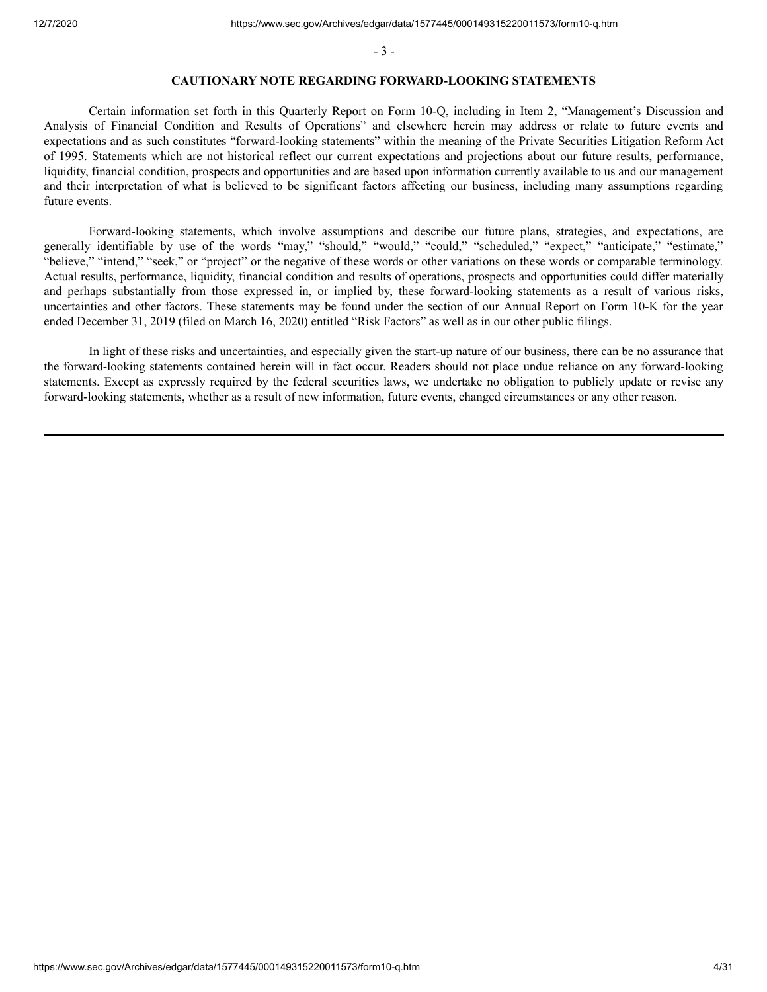- 3 -

#### **CAUTIONARY NOTE REGARDING FORWARD-LOOKING STATEMENTS**

<span id="page-3-0"></span>Certain information set forth in this Quarterly Report on Form 10-Q, including in Item 2, "Management's Discussion and Analysis of Financial Condition and Results of Operations" and elsewhere herein may address or relate to future events and expectations and as such constitutes "forward-looking statements" within the meaning of the Private Securities Litigation Reform Act of 1995. Statements which are not historical reflect our current expectations and projections about our future results, performance, liquidity, financial condition, prospects and opportunities and are based upon information currently available to us and our management and their interpretation of what is believed to be significant factors affecting our business, including many assumptions regarding future events.

Forward-looking statements, which involve assumptions and describe our future plans, strategies, and expectations, are generally identifiable by use of the words "may," "should," "would," "could," "scheduled," "expect," "anticipate," "estimate," "believe," "intend," "seek," or "project" or the negative of these words or other variations on these words or comparable terminology. Actual results, performance, liquidity, financial condition and results of operations, prospects and opportunities could differ materially and perhaps substantially from those expressed in, or implied by, these forward-looking statements as a result of various risks, uncertainties and other factors. These statements may be found under the section of our Annual Report on Form 10-K for the year ended December 31, 2019 (filed on March 16, 2020) entitled "Risk Factors" as well as in our other public filings.

In light of these risks and uncertainties, and especially given the start-up nature of our business, there can be no assurance that the forward-looking statements contained herein will in fact occur. Readers should not place undue reliance on any forward-looking statements. Except as expressly required by the federal securities laws, we undertake no obligation to publicly update or revise any forward-looking statements, whether as a result of new information, future events, changed circumstances or any other reason.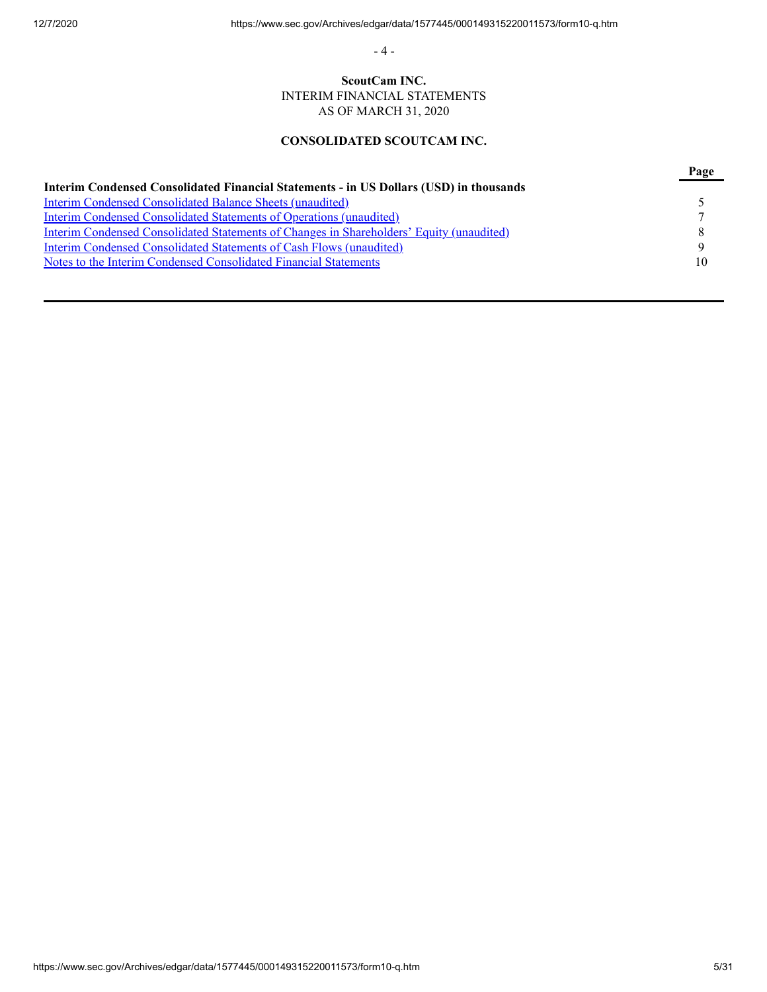- 4 -

# **ScoutCam INC.** INTERIM FINANCIAL STATEMENTS AS OF MARCH 31, 2020

# **CONSOLIDATED SCOUTCAM INC.**

<span id="page-4-0"></span>

|                                                                                                 | Page |
|-------------------------------------------------------------------------------------------------|------|
| Interim Condensed Consolidated Financial Statements - in US Dollars (USD) in thousands          |      |
| <b>Interim Condensed Consolidated Balance Sheets (unaudited)</b>                                |      |
| Interim Condensed Consolidated Statements of Operations (unaudited)                             |      |
| <b>Interim Condensed Consolidated Statements of Changes in Shareholders' Equity (unaudited)</b> |      |
| Interim Condensed Consolidated Statements of Cash Flows (unaudited)                             | Q    |
| Notes to the Interim Condensed Consolidated Financial Statements                                | 10   |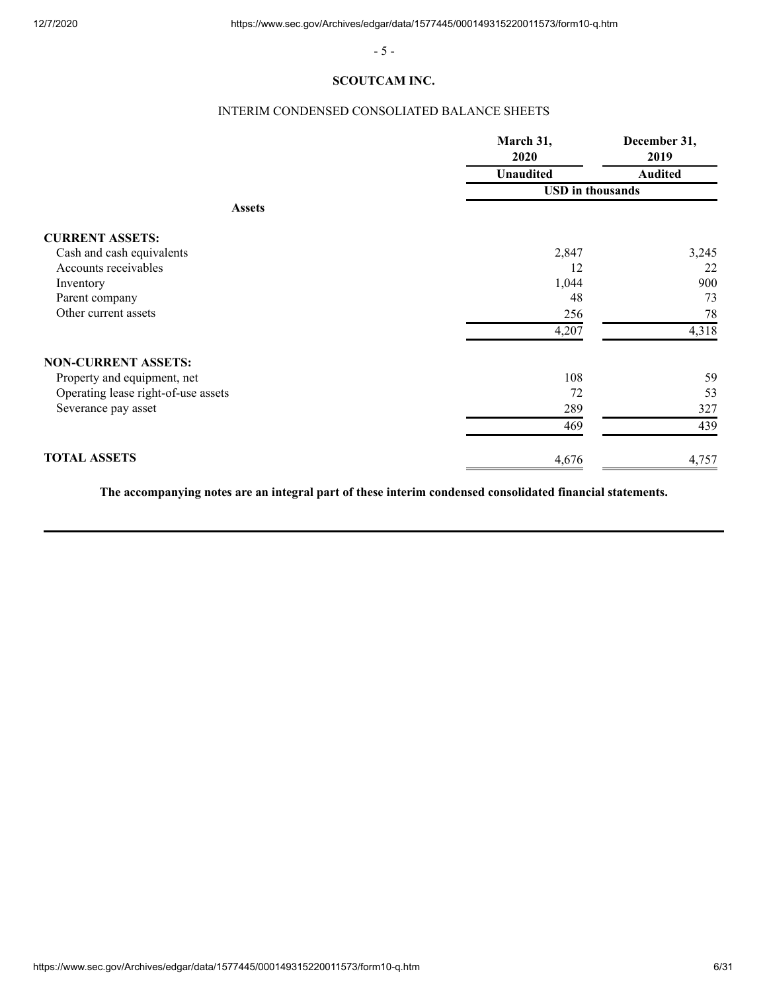- 5 -

# **SCOUTCAM INC.**

# INTERIM CONDENSED CONSOLIATED BALANCE SHEETS

<span id="page-5-0"></span>

|                                     | March 31,<br>2020       | December 31,<br>2019<br><b>Audited</b> |  |
|-------------------------------------|-------------------------|----------------------------------------|--|
|                                     | <b>Unaudited</b>        |                                        |  |
|                                     | <b>USD</b> in thousands |                                        |  |
| <b>Assets</b>                       |                         |                                        |  |
| <b>CURRENT ASSETS:</b>              |                         |                                        |  |
| Cash and cash equivalents           | 2,847                   | 3,245                                  |  |
| Accounts receivables                | 12                      | 22                                     |  |
| Inventory                           | 1,044                   | 900                                    |  |
| Parent company                      | 48                      | 73                                     |  |
| Other current assets                | 256                     | 78                                     |  |
|                                     | 4,207                   | 4,318                                  |  |
| <b>NON-CURRENT ASSETS:</b>          |                         |                                        |  |
| Property and equipment, net         | 108                     | 59                                     |  |
| Operating lease right-of-use assets | 72                      | 53                                     |  |
| Severance pay asset                 | 289                     | 327                                    |  |
|                                     | 469                     | 439                                    |  |
| <b>TOTAL ASSETS</b>                 | 4,676                   | 4,757                                  |  |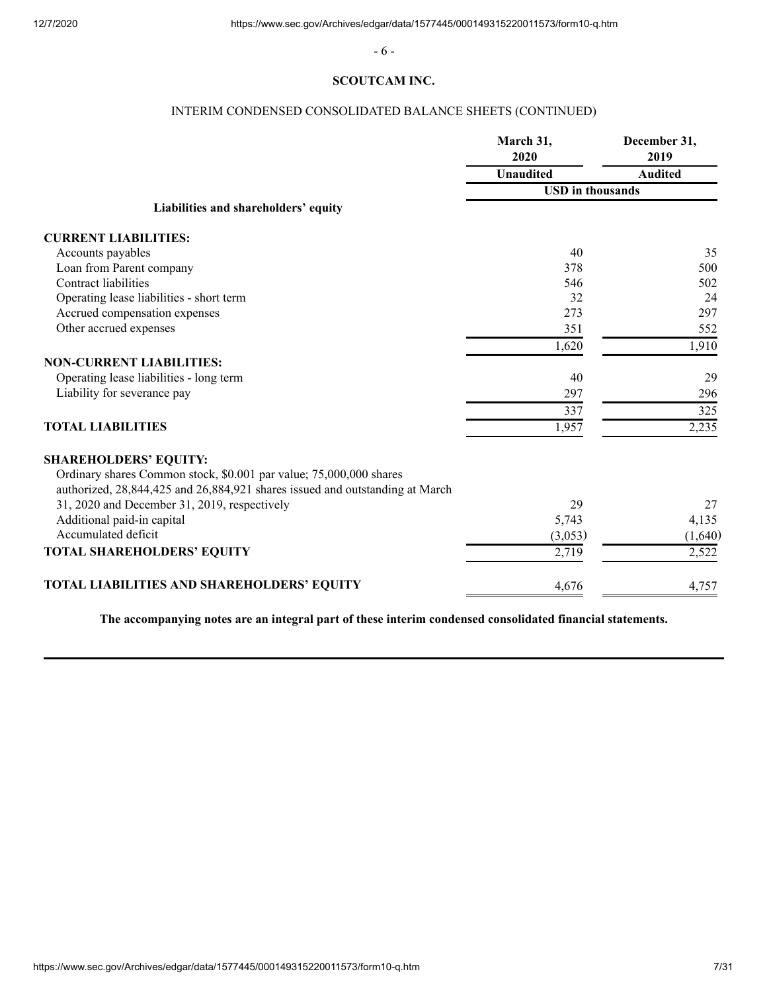- 6 -

# **SCOUTCAM INC.**

# INTERIM CONDENSED CONSOLIDATED BALANCE SHEETS (CONTINUED)

|                                                                              | March 31,<br>2020       | December 31,<br>2019 |  |
|------------------------------------------------------------------------------|-------------------------|----------------------|--|
|                                                                              | <b>Unaudited</b>        | <b>Audited</b>       |  |
|                                                                              | <b>USD</b> in thousands |                      |  |
| Liabilities and shareholders' equity                                         |                         |                      |  |
| <b>CURRENT LIABILITIES:</b>                                                  |                         |                      |  |
| Accounts payables                                                            | 40                      | 35                   |  |
| Loan from Parent company                                                     | 378                     | 500                  |  |
| Contract liabilities                                                         | 546                     | 502                  |  |
| Operating lease liabilities - short term                                     | 32                      | 24                   |  |
| Accrued compensation expenses                                                | 273                     | 297                  |  |
| Other accrued expenses                                                       | 351                     | 552                  |  |
|                                                                              | 1,620                   | 1,910                |  |
| <b>NON-CURRENT LIABILITIES:</b>                                              |                         |                      |  |
| Operating lease liabilities - long term                                      | 40                      | 29                   |  |
| Liability for severance pay                                                  | 297                     | 296                  |  |
|                                                                              | 337                     | 325                  |  |
| <b>TOTAL LIABILITIES</b>                                                     | 1,957                   | 2,235                |  |
| <b>SHAREHOLDERS' EQUITY:</b>                                                 |                         |                      |  |
| Ordinary shares Common stock, \$0.001 par value; 75,000,000 shares           |                         |                      |  |
| authorized, 28,844,425 and 26,884,921 shares issued and outstanding at March |                         |                      |  |
| 31, 2020 and December 31, 2019, respectively                                 | 29                      | 27                   |  |
| Additional paid-in capital                                                   | 5,743                   | 4,135                |  |
| Accumulated deficit                                                          | (3,053)                 | (1,640)              |  |
| TOTAL SHAREHOLDERS' EQUITY                                                   | 2,719                   | 2,522                |  |
| TOTAL LIABILITIES AND SHAREHOLDERS' EQUITY                                   | 4,676                   | 4,757                |  |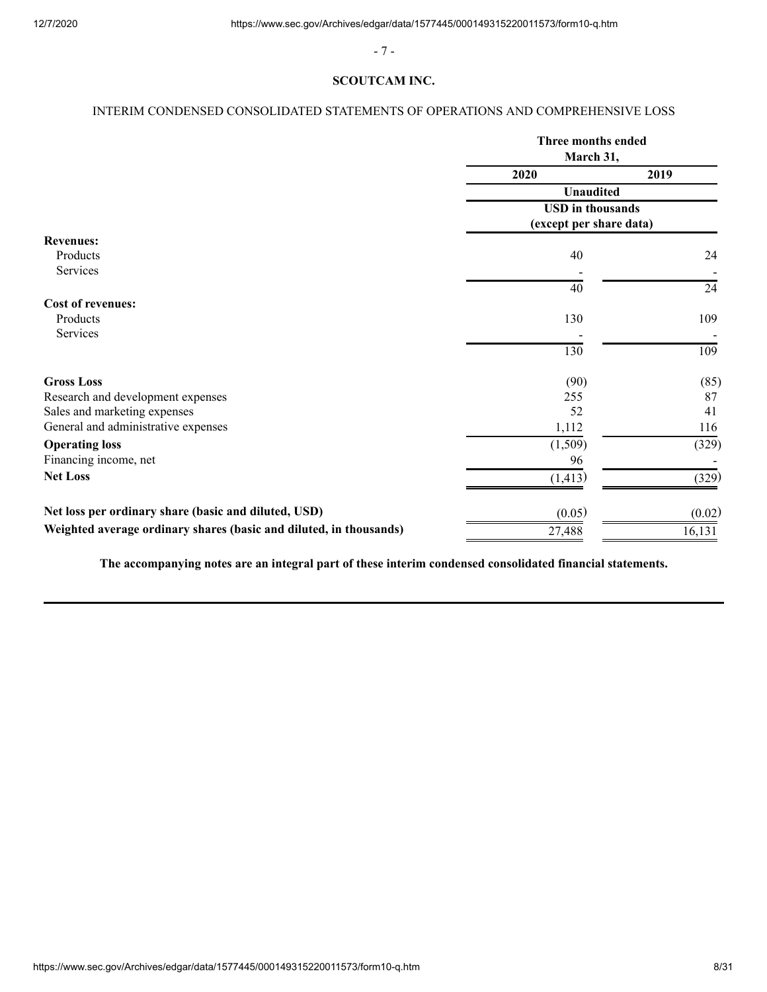- 7 -

# **SCOUTCAM INC.**

# <span id="page-7-0"></span>INTERIM CONDENSED CONSOLIDATED STATEMENTS OF OPERATIONS AND COMPREHENSIVE LOSS

|                                                                    | Three months ended<br>March 31, |        |
|--------------------------------------------------------------------|---------------------------------|--------|
|                                                                    | 2020                            | 2019   |
|                                                                    | <b>Unaudited</b>                |        |
|                                                                    | <b>USD</b> in thousands         |        |
|                                                                    | (except per share data)         |        |
| <b>Revenues:</b>                                                   |                                 |        |
| Products                                                           | 40                              | 24     |
| Services                                                           |                                 |        |
|                                                                    | 40                              | 24     |
| <b>Cost of revenues:</b>                                           |                                 |        |
| Products                                                           | 130                             | 109    |
| Services                                                           |                                 |        |
|                                                                    | 130                             | 109    |
| <b>Gross Loss</b>                                                  | (90)                            | (85)   |
| Research and development expenses                                  | 255                             | 87     |
| Sales and marketing expenses                                       | 52                              | 41     |
| General and administrative expenses                                | 1,112                           | 116    |
| <b>Operating loss</b>                                              | (1,509)                         | (329)  |
| Financing income, net                                              | 96                              |        |
| <b>Net Loss</b>                                                    | (1, 413)                        | (329)  |
| Net loss per ordinary share (basic and diluted, USD)               | (0.05)                          | (0.02) |
| Weighted average ordinary shares (basic and diluted, in thousands) | 27,488                          | 16,131 |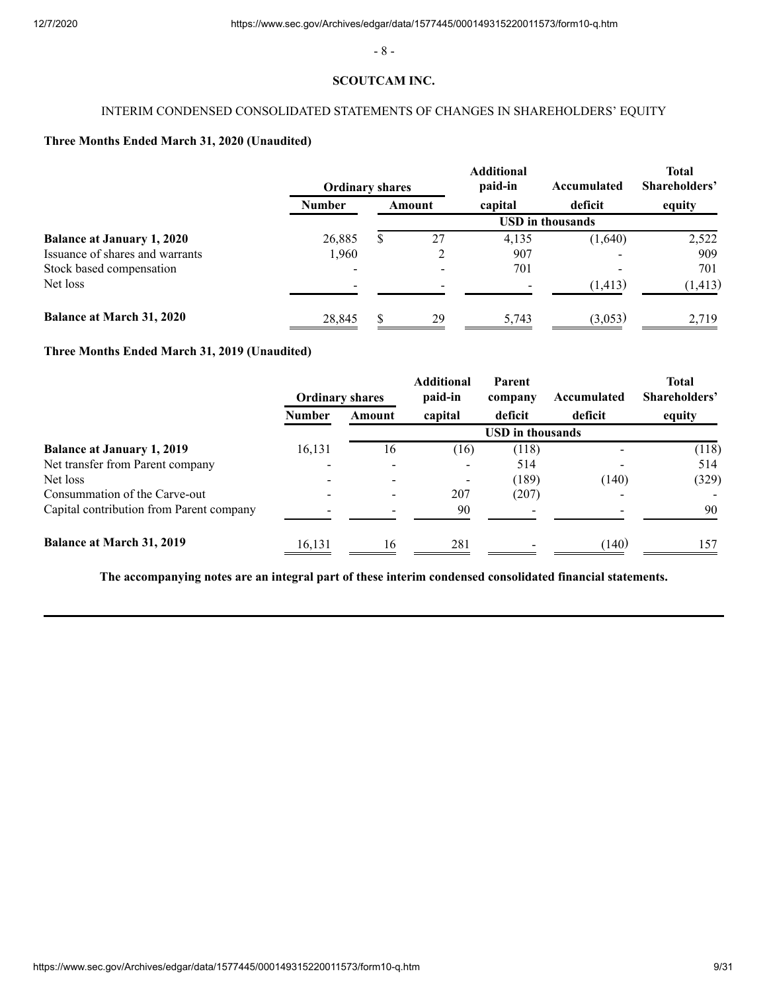- 8 -

## **SCOUTCAM INC.**

# INTERIM CONDENSED CONSOLIDATED STATEMENTS OF CHANGES IN SHAREHOLDERS' EQUITY

# <span id="page-8-0"></span>**Three Months Ended March 31, 2020 (Unaudited)**

|                                   | <b>Ordinary shares</b> |        | <b>Additional</b><br>paid-in | Accumulated             | <b>Total</b><br>Shareholders' |
|-----------------------------------|------------------------|--------|------------------------------|-------------------------|-------------------------------|
|                                   | <b>Number</b>          | Amount | capital                      | deficit                 | equity                        |
|                                   |                        |        |                              | <b>USD</b> in thousands |                               |
| <b>Balance at January 1, 2020</b> | 26,885                 | 27     | 4,135                        | (1,640)                 | 2,522                         |
| Issuance of shares and warrants   | 1.960                  |        | 907                          |                         | 909                           |
| Stock based compensation          | $\blacksquare$         |        | 701                          |                         | 701                           |
| Net loss                          | -                      |        |                              | (1, 413)                | (1, 413)                      |
| Balance at March 31, 2020         | 28,845                 | 29     | 5,743                        | (3,053)                 | 2,719                         |

# **Three Months Ended March 31, 2019 (Unaudited)**

|                                          |               | <b>Ordinary shares</b> | <b>Additional</b><br>paid-in | Parent<br>company       | Accumulated | <b>Total</b><br>Shareholders' |
|------------------------------------------|---------------|------------------------|------------------------------|-------------------------|-------------|-------------------------------|
|                                          | <b>Number</b> | Amount                 | capital                      | deficit                 | deficit     | equity                        |
|                                          |               |                        |                              | <b>USD</b> in thousands |             |                               |
| <b>Balance at January 1, 2019</b>        | 16,131        | 16                     | (16)                         | (118)                   |             | (118)                         |
| Net transfer from Parent company         |               |                        |                              | 514                     |             | 514                           |
| Net loss                                 |               |                        |                              | (189)                   | (140)       | (329)                         |
| Consummation of the Carve-out            |               |                        | 207                          | (207)                   |             |                               |
| Capital contribution from Parent company |               |                        | 90                           |                         |             | 90                            |
| Balance at March 31, 2019                | 16,131        | 16                     | 281                          |                         | (140)       | 157                           |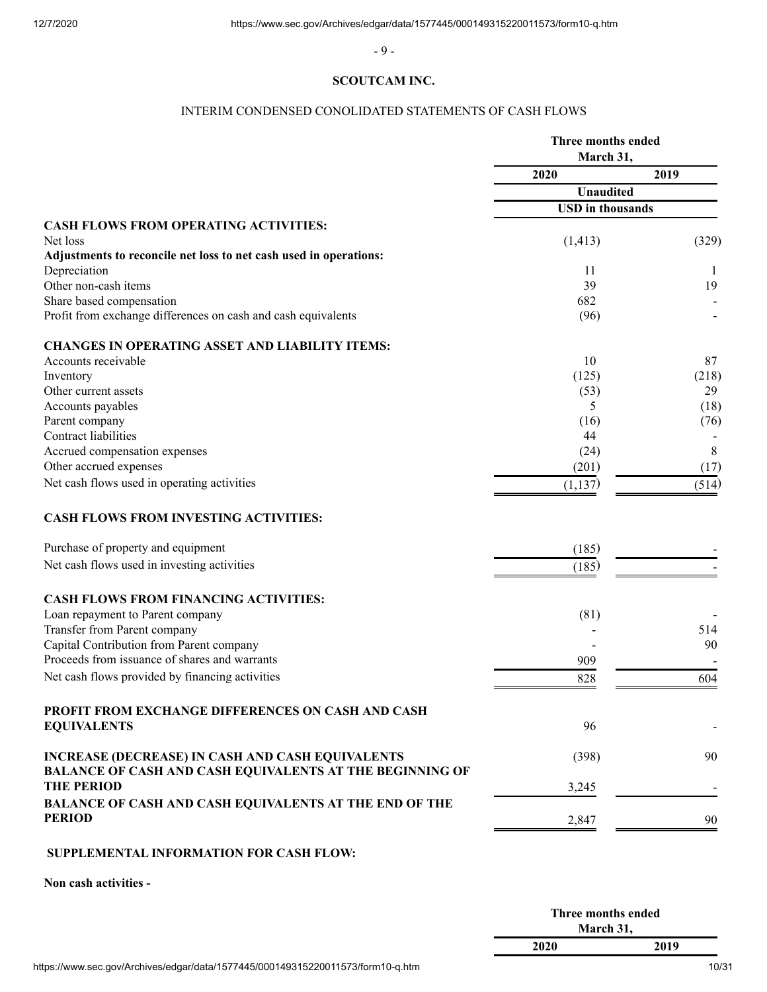- 9 -

## **SCOUTCAM INC.**

# INTERIM CONDENSED CONOLIDATED STATEMENTS OF CASH FLOWS

<span id="page-9-0"></span>

|                                                                                           | Three months ended<br>March 31, |       |  |
|-------------------------------------------------------------------------------------------|---------------------------------|-------|--|
|                                                                                           | 2020                            | 2019  |  |
|                                                                                           | <b>Unaudited</b>                |       |  |
|                                                                                           | <b>USD</b> in thousands         |       |  |
| <b>CASH FLOWS FROM OPERATING ACTIVITIES:</b>                                              |                                 |       |  |
| Net loss                                                                                  | (1, 413)                        | (329) |  |
| Adjustments to reconcile net loss to net cash used in operations:                         |                                 |       |  |
| Depreciation<br>Other non-cash items                                                      | 11                              | -1    |  |
|                                                                                           | 39<br>682                       | 19    |  |
| Share based compensation<br>Profit from exchange differences on cash and cash equivalents | (96)                            |       |  |
| <b>CHANGES IN OPERATING ASSET AND LIABILITY ITEMS:</b>                                    |                                 |       |  |
| Accounts receivable                                                                       | 10                              | 87    |  |
| Inventory                                                                                 | (125)                           | (218) |  |
| Other current assets                                                                      | (53)                            | 29    |  |
| Accounts payables                                                                         | 5                               | (18)  |  |
| Parent company                                                                            | (16)                            | (76)  |  |
| Contract liabilities                                                                      | 44                              |       |  |
| Accrued compensation expenses                                                             | (24)                            | 8     |  |
| Other accrued expenses                                                                    | (201)                           | (17)  |  |
| Net cash flows used in operating activities                                               | (1, 137)                        | (514) |  |
| <b>CASH FLOWS FROM INVESTING ACTIVITIES:</b>                                              |                                 |       |  |
| Purchase of property and equipment                                                        | (185)                           |       |  |
| Net cash flows used in investing activities                                               | (185)                           |       |  |
| <b>CASH FLOWS FROM FINANCING ACTIVITIES:</b>                                              |                                 |       |  |
| Loan repayment to Parent company                                                          | (81)                            |       |  |
| Transfer from Parent company                                                              |                                 | 514   |  |
| Capital Contribution from Parent company                                                  |                                 | 90    |  |
| Proceeds from issuance of shares and warrants                                             | 909                             |       |  |
| Net cash flows provided by financing activities                                           | 828                             | 604   |  |
| PROFIT FROM EXCHANGE DIFFERENCES ON CASH AND CASH                                         |                                 |       |  |
| <b>EQUIVALENTS</b>                                                                        | 96                              |       |  |
| <b>INCREASE (DECREASE) IN CASH AND CASH EQUIVALENTS</b>                                   | (398)                           | 90    |  |
| <b>BALANCE OF CASH AND CASH EQUIVALENTS AT THE BEGINNING OF</b><br><b>THE PERIOD</b>      |                                 |       |  |
|                                                                                           | 3,245                           |       |  |
| <b>BALANCE OF CASH AND CASH EQUIVALENTS AT THE END OF THE</b><br><b>PERIOD</b>            | 2,847                           | 90    |  |
|                                                                                           |                                 |       |  |
| <b>SUPPLEMENTAL INFORMATION FOR CASH FLOW:</b>                                            |                                 |       |  |

# **SUPPLEMENTAL INFORMATION FOR CASH FLOW:**

**Non cash activities -** 

|                                                                                 | Three months ended |       |
|---------------------------------------------------------------------------------|--------------------|-------|
|                                                                                 | March 31.          |       |
|                                                                                 | 2020               | 2019  |
| https://www.sec.gov/Archives/edgar/data/1577445/000149315220011573/form10-q.htm |                    | 10/31 |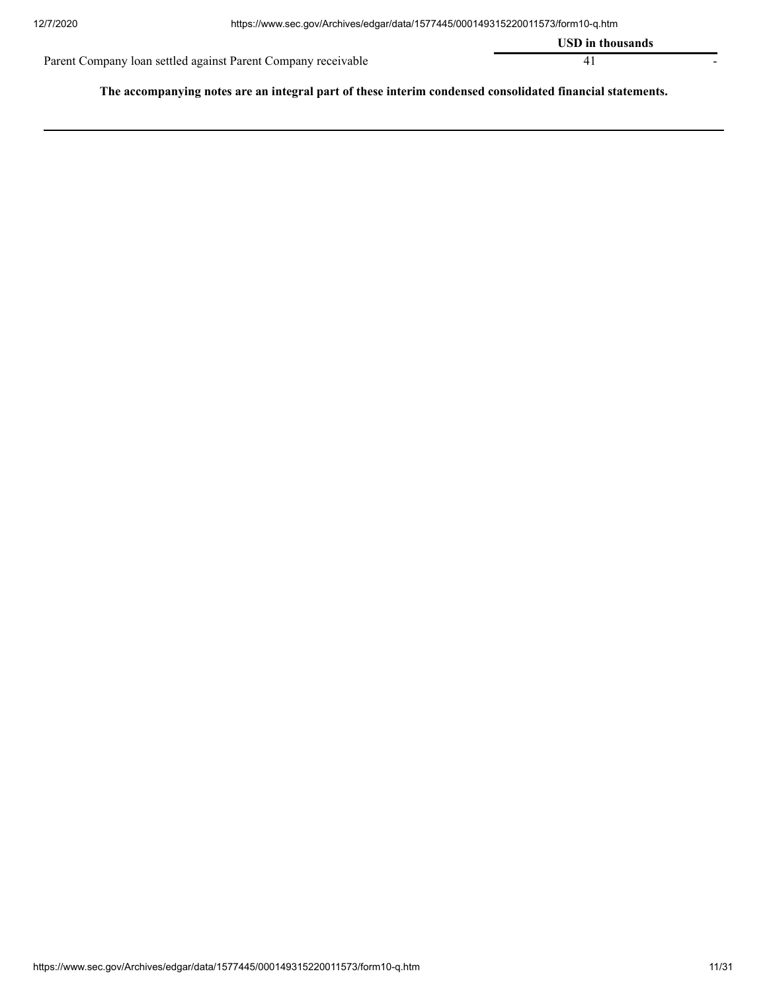|                                                               | <b>USD</b> in thousands |  |
|---------------------------------------------------------------|-------------------------|--|
| Parent Company loan settled against Parent Company receivable |                         |  |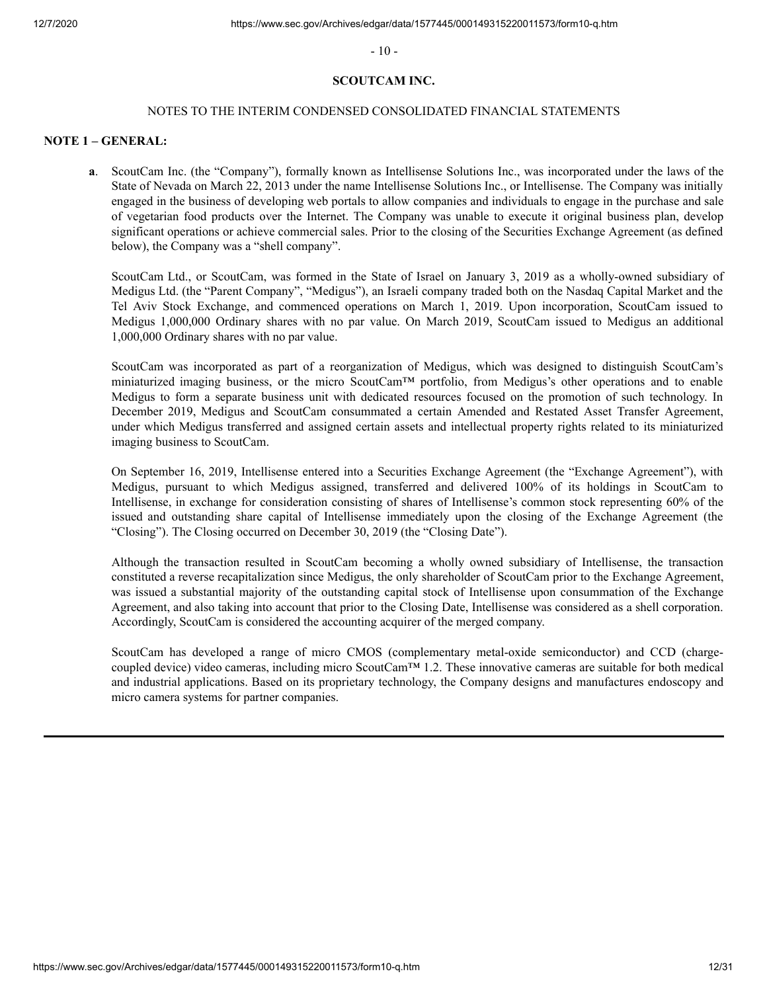$-10-$ 

# **SCOUTCAM INC.**

#### NOTES TO THE INTERIM CONDENSED CONSOLIDATED FINANCIAL STATEMENTS

# <span id="page-11-0"></span>**NOTE 1 – GENERAL:**

**a**. ScoutCam Inc. (the "Company"), formally known as Intellisense Solutions Inc., was incorporated under the laws of the State of Nevada on March 22, 2013 under the name Intellisense Solutions Inc., or Intellisense. The Company was initially engaged in the business of developing web portals to allow companies and individuals to engage in the purchase and sale of vegetarian food products over the Internet. The Company was unable to execute it original business plan, develop significant operations or achieve commercial sales. Prior to the closing of the Securities Exchange Agreement (as defined below), the Company was a "shell company".

ScoutCam Ltd., or ScoutCam, was formed in the State of Israel on January 3, 2019 as a wholly-owned subsidiary of Medigus Ltd. (the "Parent Company", "Medigus"), an Israeli company traded both on the Nasdaq Capital Market and the Tel Aviv Stock Exchange, and commenced operations on March 1, 2019. Upon incorporation, ScoutCam issued to Medigus 1,000,000 Ordinary shares with no par value. On March 2019, ScoutCam issued to Medigus an additional 1,000,000 Ordinary shares with no par value.

ScoutCam was incorporated as part of a reorganization of Medigus, which was designed to distinguish ScoutCam's miniaturized imaging business, or the micro ScoutCam™ portfolio, from Medigus's other operations and to enable Medigus to form a separate business unit with dedicated resources focused on the promotion of such technology. In December 2019, Medigus and ScoutCam consummated a certain Amended and Restated Asset Transfer Agreement, under which Medigus transferred and assigned certain assets and intellectual property rights related to its miniaturized imaging business to ScoutCam.

On September 16, 2019, Intellisense entered into a Securities Exchange Agreement (the "Exchange Agreement"), with Medigus, pursuant to which Medigus assigned, transferred and delivered 100% of its holdings in ScoutCam to Intellisense, in exchange for consideration consisting of shares of Intellisense's common stock representing 60% of the issued and outstanding share capital of Intellisense immediately upon the closing of the Exchange Agreement (the "Closing"). The Closing occurred on December 30, 2019 (the "Closing Date").

Although the transaction resulted in ScoutCam becoming a wholly owned subsidiary of Intellisense, the transaction constituted a reverse recapitalization since Medigus, the only shareholder of ScoutCam prior to the Exchange Agreement, was issued a substantial majority of the outstanding capital stock of Intellisense upon consummation of the Exchange Agreement, and also taking into account that prior to the Closing Date, Intellisense was considered as a shell corporation. Accordingly, ScoutCam is considered the accounting acquirer of the merged company.

ScoutCam has developed a range of micro CMOS (complementary metal-oxide semiconductor) and CCD (chargecoupled device) video cameras, including micro ScoutCam™ 1.2. These innovative cameras are suitable for both medical and industrial applications. Based on its proprietary technology, the Company designs and manufactures endoscopy and micro camera systems for partner companies.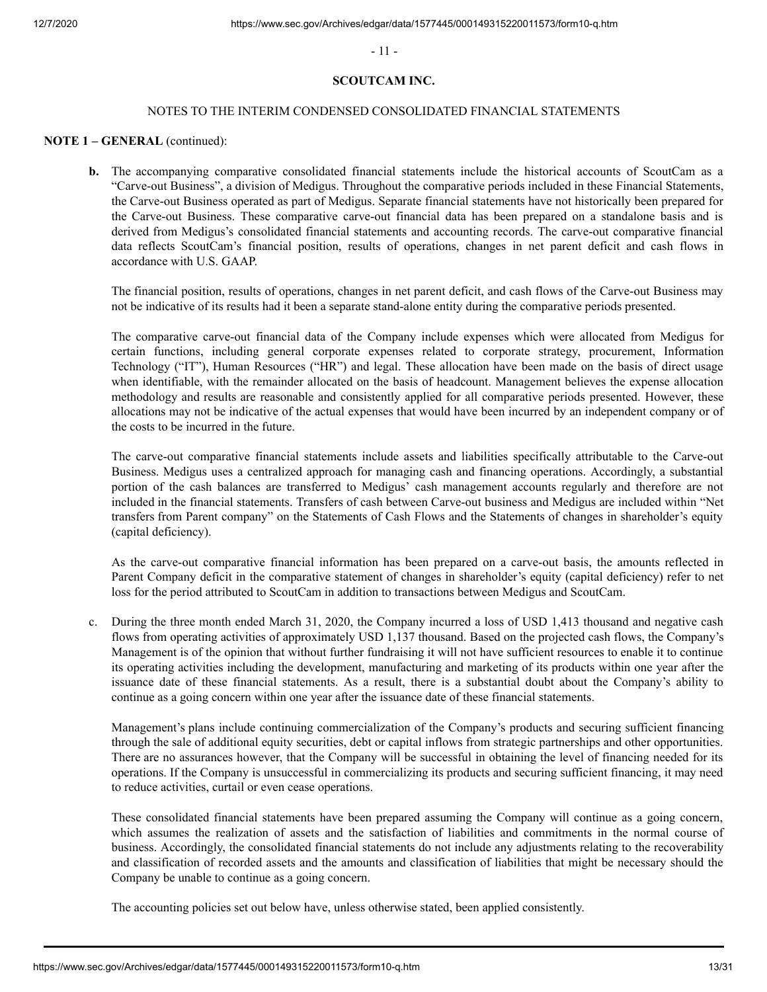- 11 -

# **SCOUTCAM INC.**

### NOTES TO THE INTERIM CONDENSED CONSOLIDATED FINANCIAL STATEMENTS

### **NOTE 1 – GENERAL** (continued):

**b.** The accompanying comparative consolidated financial statements include the historical accounts of ScoutCam as a "Carve-out Business", a division of Medigus. Throughout the comparative periods included in these Financial Statements, the Carve-out Business operated as part of Medigus. Separate financial statements have not historically been prepared for the Carve-out Business. These comparative carve-out financial data has been prepared on a standalone basis and is derived from Medigus's consolidated financial statements and accounting records. The carve-out comparative financial data reflects ScoutCam's financial position, results of operations, changes in net parent deficit and cash flows in accordance with U.S. GAAP.

The financial position, results of operations, changes in net parent deficit, and cash flows of the Carve-out Business may not be indicative of its results had it been a separate stand-alone entity during the comparative periods presented.

The comparative carve-out financial data of the Company include expenses which were allocated from Medigus for certain functions, including general corporate expenses related to corporate strategy, procurement, Information Technology ("IT"), Human Resources ("HR") and legal. These allocation have been made on the basis of direct usage when identifiable, with the remainder allocated on the basis of headcount. Management believes the expense allocation methodology and results are reasonable and consistently applied for all comparative periods presented. However, these allocations may not be indicative of the actual expenses that would have been incurred by an independent company or of the costs to be incurred in the future.

The carve-out comparative financial statements include assets and liabilities specifically attributable to the Carve-out Business. Medigus uses a centralized approach for managing cash and financing operations. Accordingly, a substantial portion of the cash balances are transferred to Medigus' cash management accounts regularly and therefore are not included in the financial statements. Transfers of cash between Carve-out business and Medigus are included within "Net transfers from Parent company" on the Statements of Cash Flows and the Statements of changes in shareholder's equity (capital deficiency).

As the carve-out comparative financial information has been prepared on a carve-out basis, the amounts reflected in Parent Company deficit in the comparative statement of changes in shareholder's equity (capital deficiency) refer to net loss for the period attributed to ScoutCam in addition to transactions between Medigus and ScoutCam.

 c. During the three month ended March 31, 2020, the Company incurred a loss of USD 1,413 thousand and negative cash flows from operating activities of approximately USD 1,137 thousand. Based on the projected cash flows, the Company's Management is of the opinion that without further fundraising it will not have sufficient resources to enable it to continue its operating activities including the development, manufacturing and marketing of its products within one year after the issuance date of these financial statements. As a result, there is a substantial doubt about the Company's ability to continue as a going concern within one year after the issuance date of these financial statements.

 Management's plans include continuing commercialization of the Company's products and securing sufficient financing through the sale of additional equity securities, debt or capital inflows from strategic partnerships and other opportunities. There are no assurances however, that the Company will be successful in obtaining the level of financing needed for its operations. If the Company is unsuccessful in commercializing its products and securing sufficient financing, it may need to reduce activities, curtail or even cease operations.

 These consolidated financial statements have been prepared assuming the Company will continue as a going concern, which assumes the realization of assets and the satisfaction of liabilities and commitments in the normal course of business. Accordingly, the consolidated financial statements do not include any adjustments relating to the recoverability and classification of recorded assets and the amounts and classification of liabilities that might be necessary should the Company be unable to continue as a going concern.

The accounting policies set out below have, unless otherwise stated, been applied consistently.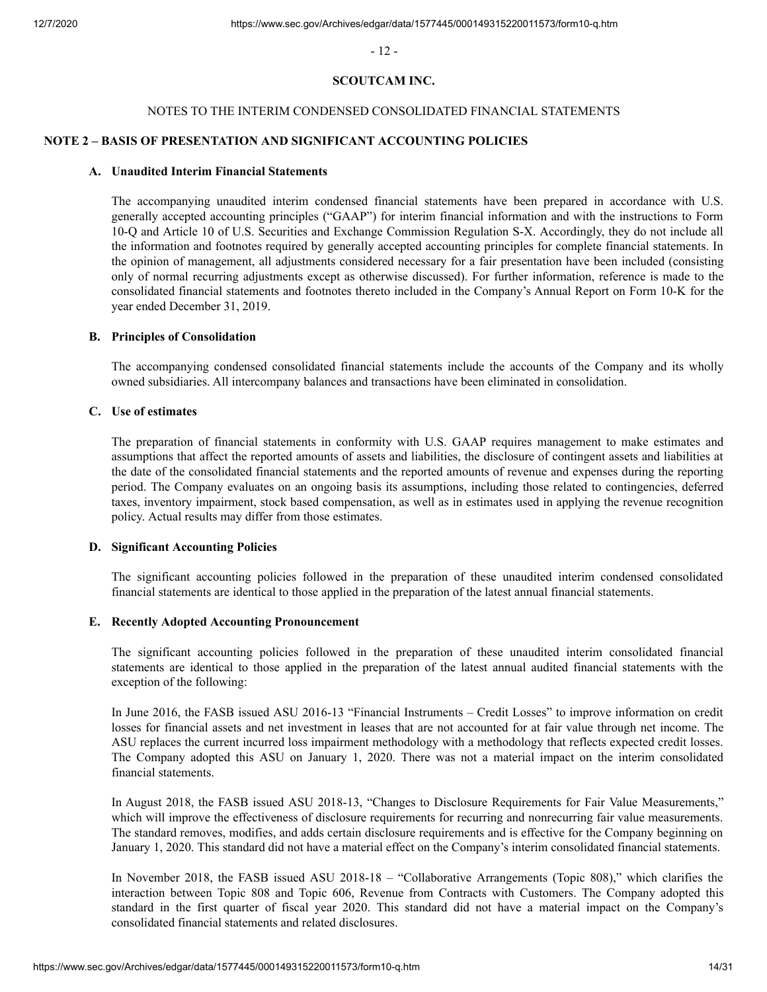- 12 -

# **SCOUTCAM INC.**

#### NOTES TO THE INTERIM CONDENSED CONSOLIDATED FINANCIAL STATEMENTS

# **NOTE 2 – BASIS OF PRESENTATION AND SIGNIFICANT ACCOUNTING POLICIES**

# **A. Unaudited Interim Financial Statements**

The accompanying unaudited interim condensed financial statements have been prepared in accordance with U.S. generally accepted accounting principles ("GAAP") for interim financial information and with the instructions to Form 10-Q and Article 10 of U.S. Securities and Exchange Commission Regulation S-X. Accordingly, they do not include all the information and footnotes required by generally accepted accounting principles for complete financial statements. In the opinion of management, all adjustments considered necessary for a fair presentation have been included (consisting only of normal recurring adjustments except as otherwise discussed). For further information, reference is made to the consolidated financial statements and footnotes thereto included in the Company's Annual Report on Form 10-K for the year ended December 31, 2019.

#### **B. Principles of Consolidation**

The accompanying condensed consolidated financial statements include the accounts of the Company and its wholly owned subsidiaries. All intercompany balances and transactions have been eliminated in consolidation.

#### **C. Use of estimates**

The preparation of financial statements in conformity with U.S. GAAP requires management to make estimates and assumptions that affect the reported amounts of assets and liabilities, the disclosure of contingent assets and liabilities at the date of the consolidated financial statements and the reported amounts of revenue and expenses during the reporting period. The Company evaluates on an ongoing basis its assumptions, including those related to contingencies, deferred taxes, inventory impairment, stock based compensation, as well as in estimates used in applying the revenue recognition policy. Actual results may differ from those estimates.

#### **D. Significant Accounting Policies**

The significant accounting policies followed in the preparation of these unaudited interim condensed consolidated financial statements are identical to those applied in the preparation of the latest annual financial statements.

#### **E. Recently Adopted Accounting Pronouncement**

The significant accounting policies followed in the preparation of these unaudited interim consolidated financial statements are identical to those applied in the preparation of the latest annual audited financial statements with the exception of the following:

In June 2016, the FASB issued ASU 2016-13 "Financial Instruments – Credit Losses" to improve information on credit losses for financial assets and net investment in leases that are not accounted for at fair value through net income. The ASU replaces the current incurred loss impairment methodology with a methodology that reflects expected credit losses. The Company adopted this ASU on January 1, 2020. There was not a material impact on the interim consolidated financial statements.

In August 2018, the FASB issued ASU 2018-13, "Changes to Disclosure Requirements for Fair Value Measurements," which will improve the effectiveness of disclosure requirements for recurring and nonrecurring fair value measurements. The standard removes, modifies, and adds certain disclosure requirements and is effective for the Company beginning on January 1, 2020. This standard did not have a material effect on the Company's interim consolidated financial statements.

In November 2018, the FASB issued ASU 2018-18 – "Collaborative Arrangements (Topic 808)," which clarifies the interaction between Topic 808 and Topic 606, Revenue from Contracts with Customers. The Company adopted this standard in the first quarter of fiscal year 2020. This standard did not have a material impact on the Company's consolidated financial statements and related disclosures.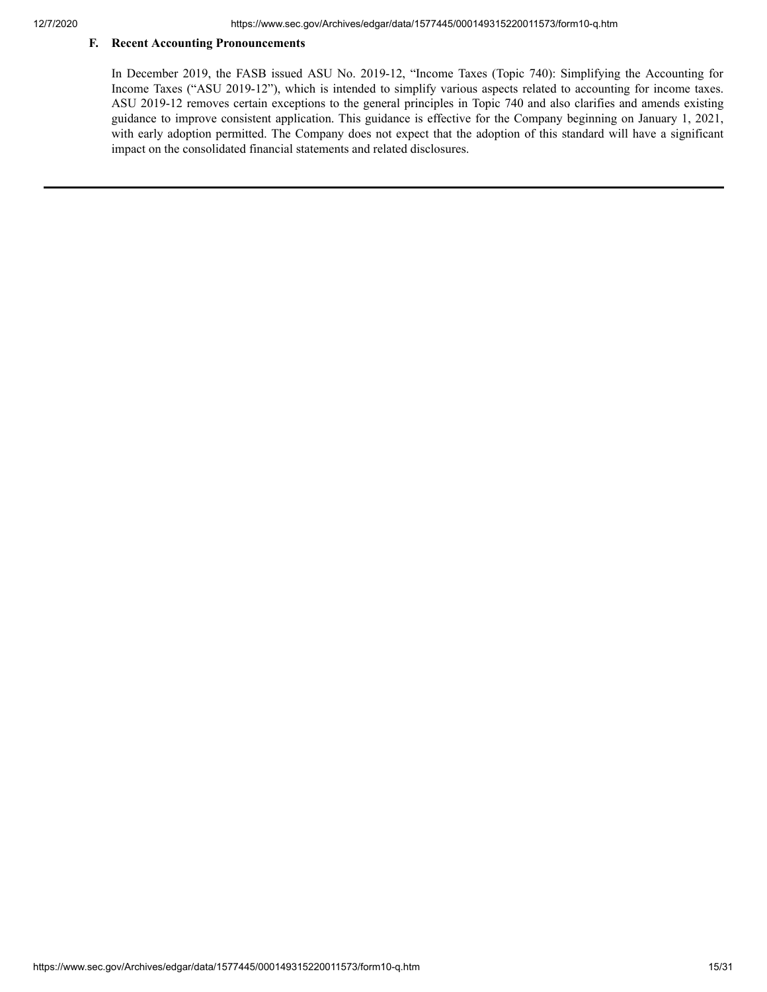# **F. Recent Accounting Pronouncements**

In December 2019, the FASB issued ASU No. 2019-12, "Income Taxes (Topic 740): Simplifying the Accounting for Income Taxes ("ASU 2019-12"), which is intended to simplify various aspects related to accounting for income taxes. ASU 2019-12 removes certain exceptions to the general principles in Topic 740 and also clarifies and amends existing guidance to improve consistent application. This guidance is effective for the Company beginning on January 1, 2021, with early adoption permitted. The Company does not expect that the adoption of this standard will have a significant impact on the consolidated financial statements and related disclosures.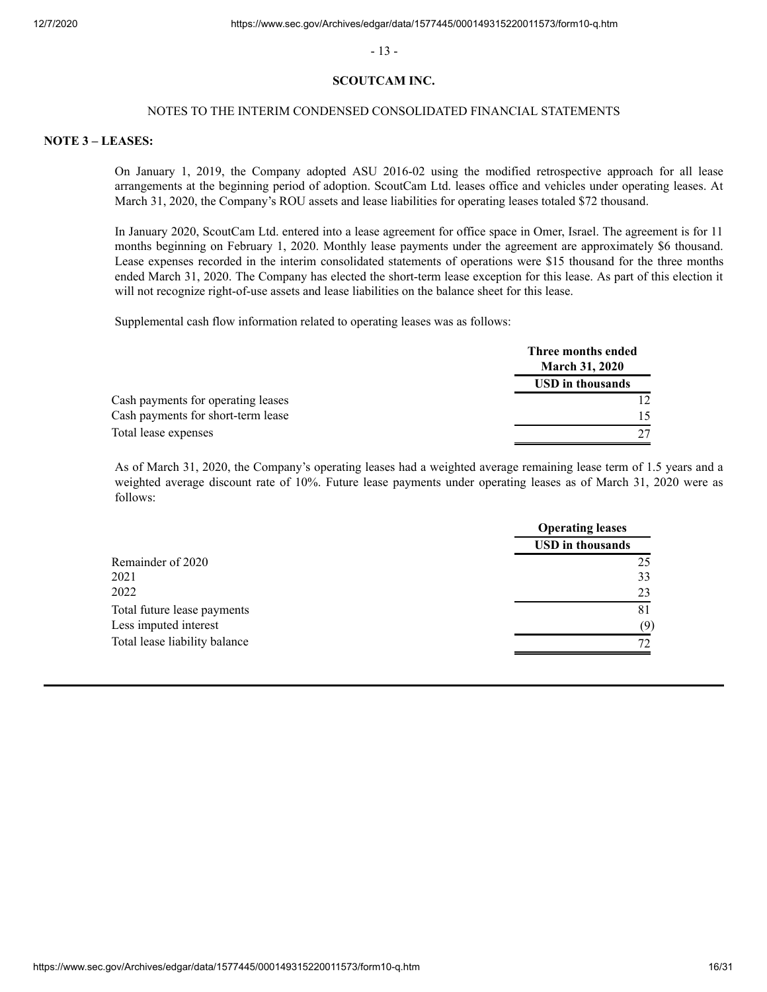- 13 -

#### **SCOUTCAM INC.**

#### NOTES TO THE INTERIM CONDENSED CONSOLIDATED FINANCIAL STATEMENTS

#### **NOTE 3 – LEASES:**

On January 1, 2019, the Company adopted ASU 2016-02 using the modified retrospective approach for all lease arrangements at the beginning period of adoption. ScoutCam Ltd. leases office and vehicles under operating leases. At March 31, 2020, the Company's ROU assets and lease liabilities for operating leases totaled \$72 thousand.

In January 2020, ScoutCam Ltd. entered into a lease agreement for office space in Omer, Israel. The agreement is for 11 months beginning on February 1, 2020. Monthly lease payments under the agreement are approximately \$6 thousand. Lease expenses recorded in the interim consolidated statements of operations were \$15 thousand for the three months ended March 31, 2020. The Company has elected the short-term lease exception for this lease. As part of this election it will not recognize right-of-use assets and lease liabilities on the balance sheet for this lease.

Supplemental cash flow information related to operating leases was as follows:

|                                    | Three months ended<br><b>March 31, 2020</b> |
|------------------------------------|---------------------------------------------|
|                                    | <b>USD</b> in thousands                     |
| Cash payments for operating leases |                                             |
| Cash payments for short-term lease |                                             |
| Total lease expenses               |                                             |

As of March 31, 2020, the Company's operating leases had a weighted average remaining lease term of 1.5 years and a weighted average discount rate of 10%. Future lease payments under operating leases as of March 31, 2020 were as follows:

| <b>Operating leases</b> |  |
|-------------------------|--|
| <b>USD</b> in thousands |  |
| 25                      |  |
| 33                      |  |
| 23                      |  |
| 81                      |  |
| (9)                     |  |
|                         |  |
|                         |  |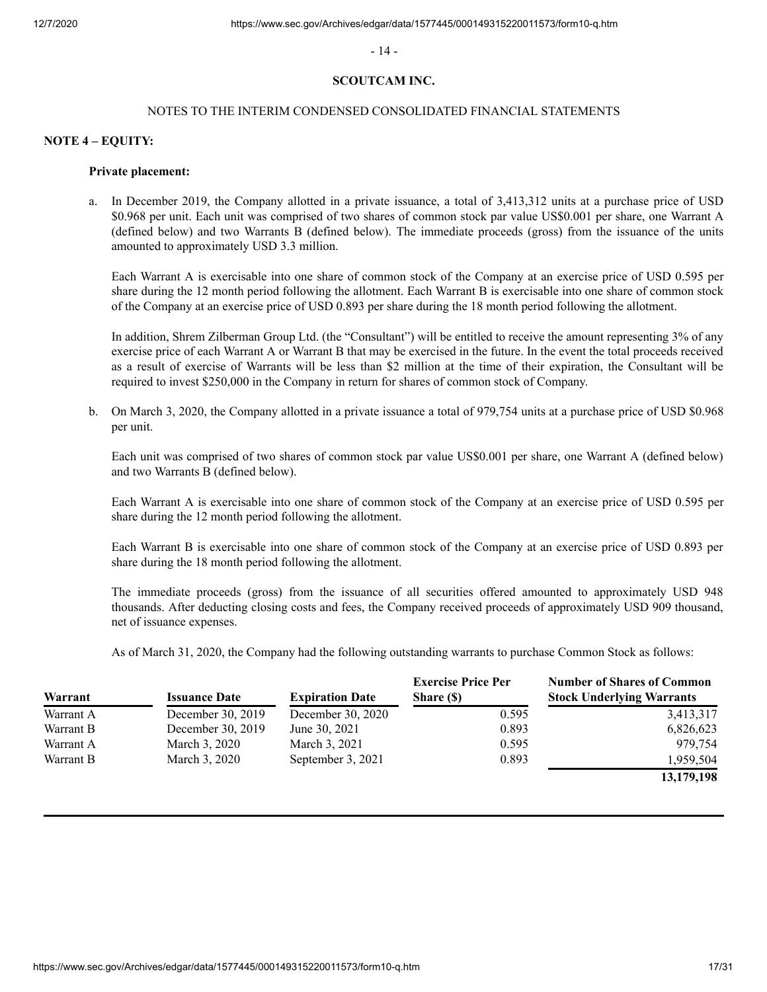- 14 -

# **SCOUTCAM INC.**

#### NOTES TO THE INTERIM CONDENSED CONSOLIDATED FINANCIAL STATEMENTS

#### **NOTE 4 – EQUITY:**

#### **Private placement:**

In December 2019, the Company allotted in a private issuance, a total of 3,413,312 units at a purchase price of USD \$0.968 per unit. Each unit was comprised of two shares of common stock par value US\$0.001 per share, one Warrant A (defined below) and two Warrants B (defined below). The immediate proceeds (gross) from the issuance of the units amounted to approximately USD 3.3 million.

Each Warrant A is exercisable into one share of common stock of the Company at an exercise price of USD 0.595 per share during the 12 month period following the allotment. Each Warrant B is exercisable into one share of common stock of the Company at an exercise price of USD 0.893 per share during the 18 month period following the allotment.

In addition, Shrem Zilberman Group Ltd. (the "Consultant") will be entitled to receive the amount representing 3% of any exercise price of each Warrant A or Warrant B that may be exercised in the future. In the event the total proceeds received as a result of exercise of Warrants will be less than \$2 million at the time of their expiration, the Consultant will be required to invest \$250,000 in the Company in return for shares of common stock of Company.

 b. On March 3, 2020, the Company allotted in a private issuance a total of 979,754 units at a purchase price of USD \$0.968 per unit.

Each unit was comprised of two shares of common stock par value US\$0.001 per share, one Warrant A (defined below) and two Warrants B (defined below).

Each Warrant A is exercisable into one share of common stock of the Company at an exercise price of USD 0.595 per share during the 12 month period following the allotment.

Each Warrant B is exercisable into one share of common stock of the Company at an exercise price of USD 0.893 per share during the 18 month period following the allotment.

The immediate proceeds (gross) from the issuance of all securities offered amounted to approximately USD 948 thousands. After deducting closing costs and fees, the Company received proceeds of approximately USD 909 thousand, net of issuance expenses.

As of March 31, 2020, the Company had the following outstanding warrants to purchase Common Stock as follows:

| Warrant   | <b>Issuance Date</b> | <b>Expiration Date</b> | <b>Exercise Price Per</b><br>Share (\$) | <b>Number of Shares of Common</b><br><b>Stock Underlying Warrants</b> |
|-----------|----------------------|------------------------|-----------------------------------------|-----------------------------------------------------------------------|
| Warrant A | December 30, 2019    | December 30, 2020      | 0.595                                   | 3,413,317                                                             |
| Warrant B | December 30, 2019    | June 30, 2021          | 0.893                                   | 6,826,623                                                             |
| Warrant A | March 3, 2020        | March 3, 2021          | 0.595                                   | 979.754                                                               |
| Warrant B | March 3, 2020        | September 3, 2021      | 0.893                                   | 1,959,504                                                             |
|           |                      |                        |                                         | 13,179,198                                                            |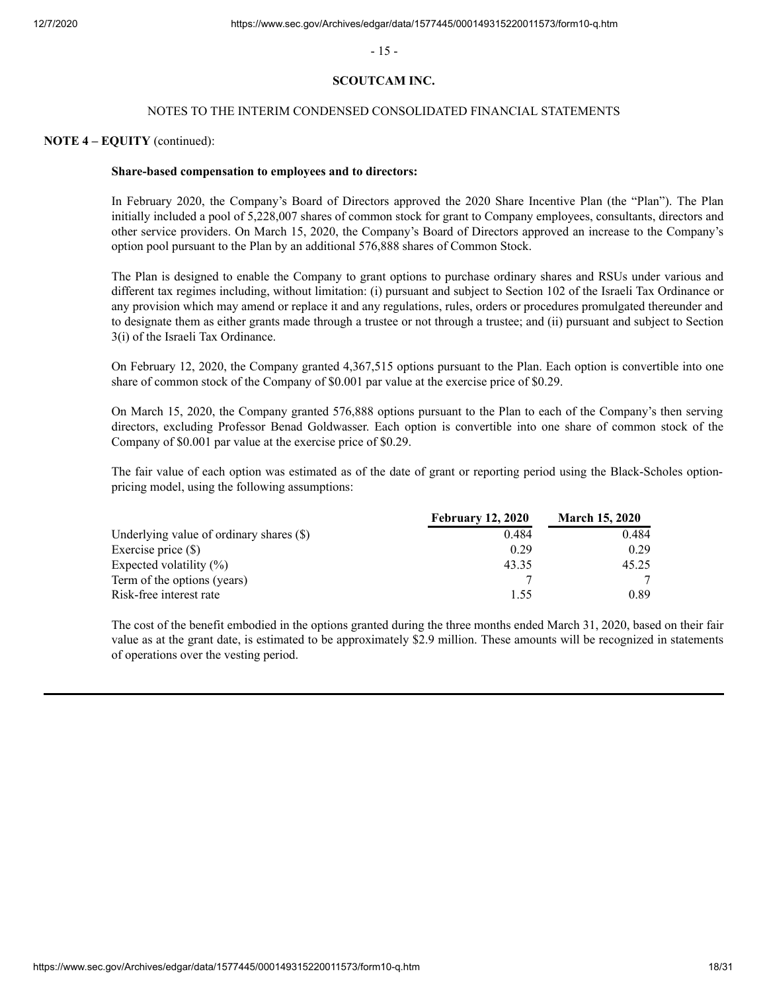- 15 -

# **SCOUTCAM INC.**

### NOTES TO THE INTERIM CONDENSED CONSOLIDATED FINANCIAL STATEMENTS

### **NOTE 4 – EQUITY** (continued):

#### **Share-based compensation to employees and to directors:**

In February 2020, the Company's Board of Directors approved the 2020 Share Incentive Plan (the "Plan"). The Plan initially included a pool of 5,228,007 shares of common stock for grant to Company employees, consultants, directors and other service providers. On March 15, 2020, the Company's Board of Directors approved an increase to the Company's option pool pursuant to the Plan by an additional 576,888 shares of Common Stock.

The Plan is designed to enable the Company to grant options to purchase ordinary shares and RSUs under various and different tax regimes including, without limitation: (i) pursuant and subject to Section 102 of the Israeli Tax Ordinance or any provision which may amend or replace it and any regulations, rules, orders or procedures promulgated thereunder and to designate them as either grants made through a trustee or not through a trustee; and (ii) pursuant and subject to Section 3(i) of the Israeli Tax Ordinance.

On February 12, 2020, the Company granted 4,367,515 options pursuant to the Plan. Each option is convertible into one share of common stock of the Company of \$0.001 par value at the exercise price of \$0.29.

On March 15, 2020, the Company granted 576,888 options pursuant to the Plan to each of the Company's then serving directors, excluding Professor Benad Goldwasser. Each option is convertible into one share of common stock of the Company of \$0.001 par value at the exercise price of \$0.29.

The fair value of each option was estimated as of the date of grant or reporting period using the Black-Scholes optionpricing model, using the following assumptions:

|                                            | <b>February 12, 2020</b> | <b>March 15, 2020</b> |
|--------------------------------------------|--------------------------|-----------------------|
| Underlying value of ordinary shares $(\$)$ | 0.484                    | 0.484                 |
| Exercise price $(\$)$                      | 0.29                     | 0.29                  |
| Expected volatility $(\%)$                 | 43.35                    | 45.25                 |
| Term of the options (years)                |                          |                       |
| Risk-free interest rate                    | 1.55                     | 0.89                  |

The cost of the benefit embodied in the options granted during the three months ended March 31, 2020, based on their fair value as at the grant date, is estimated to be approximately \$2.9 million. These amounts will be recognized in statements of operations over the vesting period.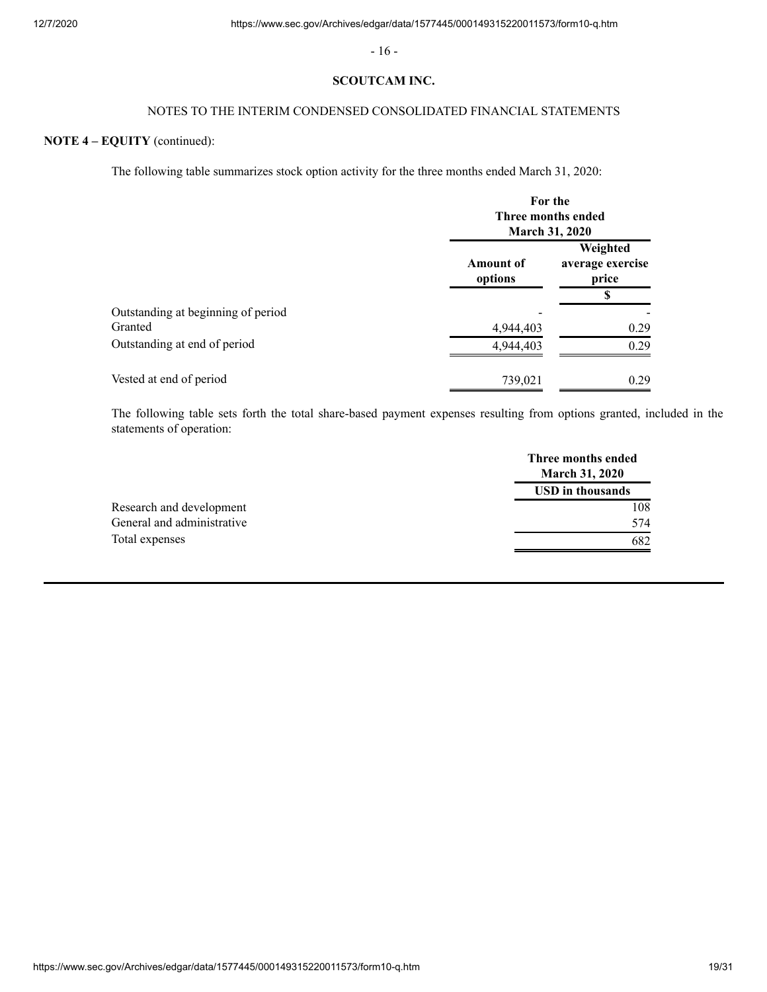- 16 -

## **SCOUTCAM INC.**

# NOTES TO THE INTERIM CONDENSED CONSOLIDATED FINANCIAL STATEMENTS

# **NOTE 4 – EQUITY** (continued):

The following table summarizes stock option activity for the three months ended March 31, 2020:

|                                    | For the<br>Three months ended<br><b>March 31, 2020</b> |                                       |
|------------------------------------|--------------------------------------------------------|---------------------------------------|
|                                    | <b>Amount of</b><br>options                            | Weighted<br>average exercise<br>price |
|                                    |                                                        | S                                     |
| Outstanding at beginning of period |                                                        |                                       |
| Granted                            | 4,944,403                                              | 0.29                                  |
| Outstanding at end of period       | 4,944,403                                              | 0.29                                  |
| Vested at end of period            | 739,021                                                | 0.29                                  |

The following table sets forth the total share-based payment expenses resulting from options granted, included in the statements of operation:

|                            | Three months ended<br><b>March 31, 2020</b> |
|----------------------------|---------------------------------------------|
|                            | <b>USD</b> in thousands                     |
| Research and development   | 108                                         |
| General and administrative | 574                                         |
| Total expenses             | 682                                         |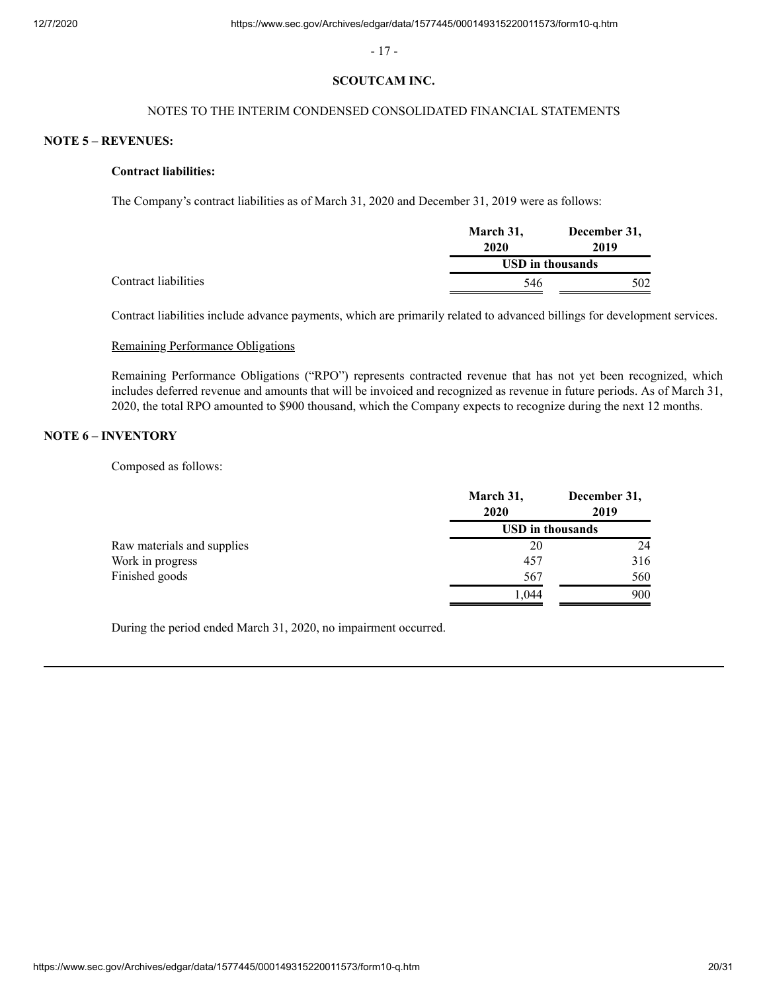- 17 -

#### **SCOUTCAM INC.**

# NOTES TO THE INTERIM CONDENSED CONSOLIDATED FINANCIAL STATEMENTS

### **NOTE 5 – REVENUES:**

#### **Contract liabilities:**

The Company's contract liabilities as of March 31, 2020 and December 31, 2019 were as follows:

|                      | March 31,        | December 31, |
|----------------------|------------------|--------------|
|                      | 2020             | 2019         |
|                      | USD in thousands |              |
| Contract liabilities | 546              | 502          |

Contract liabilities include advance payments, which are primarily related to advanced billings for development services.

## Remaining Performance Obligations

Remaining Performance Obligations ("RPO") represents contracted revenue that has not yet been recognized, which includes deferred revenue and amounts that will be invoiced and recognized as revenue in future periods. As of March 31, 2020, the total RPO amounted to \$900 thousand, which the Company expects to recognize during the next 12 months.

# **NOTE 6 – INVENTORY**

Composed as follows:

|                            | March 31,<br>2020 | December 31,<br>2019    |
|----------------------------|-------------------|-------------------------|
|                            |                   | <b>USD</b> in thousands |
| Raw materials and supplies | 20                | 24                      |
| Work in progress           | 457               | 316                     |
| Finished goods             | 567               | 560                     |
|                            | .044              | 900                     |

During the period ended March 31, 2020, no impairment occurred.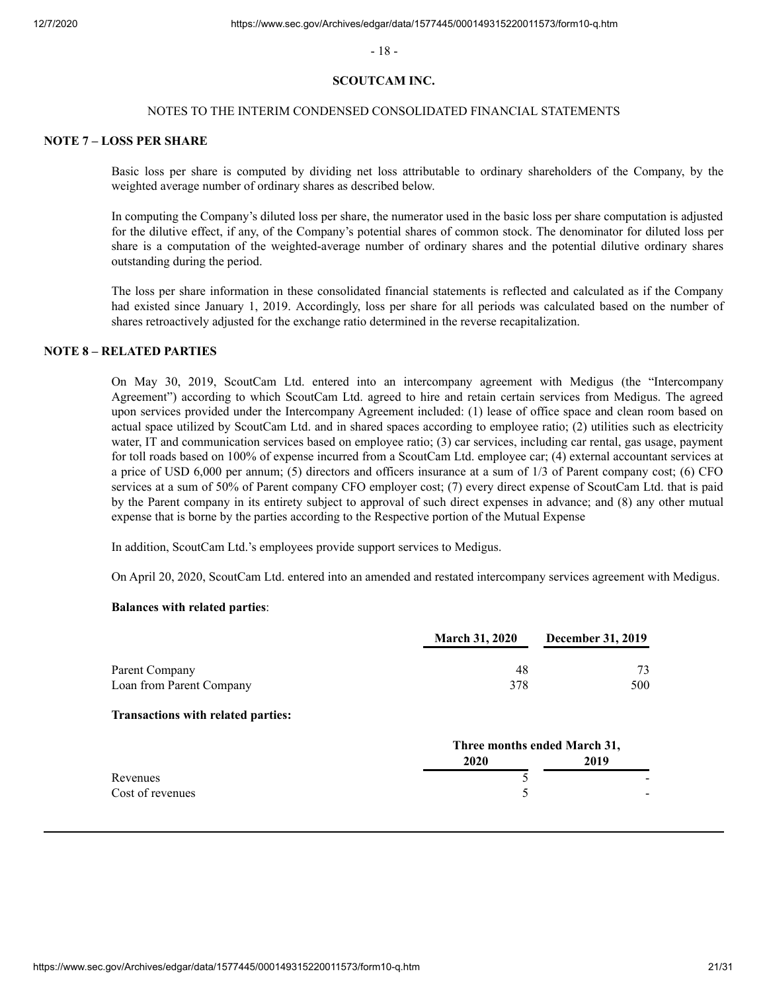- 18 -

#### **SCOUTCAM INC.**

#### NOTES TO THE INTERIM CONDENSED CONSOLIDATED FINANCIAL STATEMENTS

#### **NOTE 7 – LOSS PER SHARE**

Basic loss per share is computed by dividing net loss attributable to ordinary shareholders of the Company, by the weighted average number of ordinary shares as described below.

In computing the Company's diluted loss per share, the numerator used in the basic loss per share computation is adjusted for the dilutive effect, if any, of the Company's potential shares of common stock. The denominator for diluted loss per share is a computation of the weighted-average number of ordinary shares and the potential dilutive ordinary shares outstanding during the period.

The loss per share information in these consolidated financial statements is reflected and calculated as if the Company had existed since January 1, 2019. Accordingly, loss per share for all periods was calculated based on the number of shares retroactively adjusted for the exchange ratio determined in the reverse recapitalization.

# **NOTE 8 – RELATED PARTIES**

On May 30, 2019, ScoutCam Ltd. entered into an intercompany agreement with Medigus (the "Intercompany Agreement") according to which ScoutCam Ltd. agreed to hire and retain certain services from Medigus. The agreed upon services provided under the Intercompany Agreement included: (1) lease of office space and clean room based on actual space utilized by ScoutCam Ltd. and in shared spaces according to employee ratio; (2) utilities such as electricity water, IT and communication services based on employee ratio; (3) car services, including car rental, gas usage, payment for toll roads based on 100% of expense incurred from a ScoutCam Ltd. employee car; (4) external accountant services at a price of USD 6,000 per annum; (5) directors and officers insurance at a sum of 1/3 of Parent company cost; (6) CFO services at a sum of 50% of Parent company CFO employer cost; (7) every direct expense of ScoutCam Ltd. that is paid by the Parent company in its entirety subject to approval of such direct expenses in advance; and (8) any other mutual expense that is borne by the parties according to the Respective portion of the Mutual Expense

In addition, ScoutCam Ltd.'s employees provide support services to Medigus.

On April 20, 2020, ScoutCam Ltd. entered into an amended and restated intercompany services agreement with Medigus.

#### **Balances with related parties**:

|                          | <b>March 31, 2020</b> | <b>December 31, 2019</b> |
|--------------------------|-----------------------|--------------------------|
| Parent Company           | 48                    | 73                       |
| Loan from Parent Company | 378                   | 500                      |

#### **Transactions with related parties:**

|                  |      | Three months ended March 31, |  |
|------------------|------|------------------------------|--|
|                  | 2020 | 2019                         |  |
| Revenues         |      | $\overline{\phantom{a}}$     |  |
| Cost of revenues |      | $\sim$                       |  |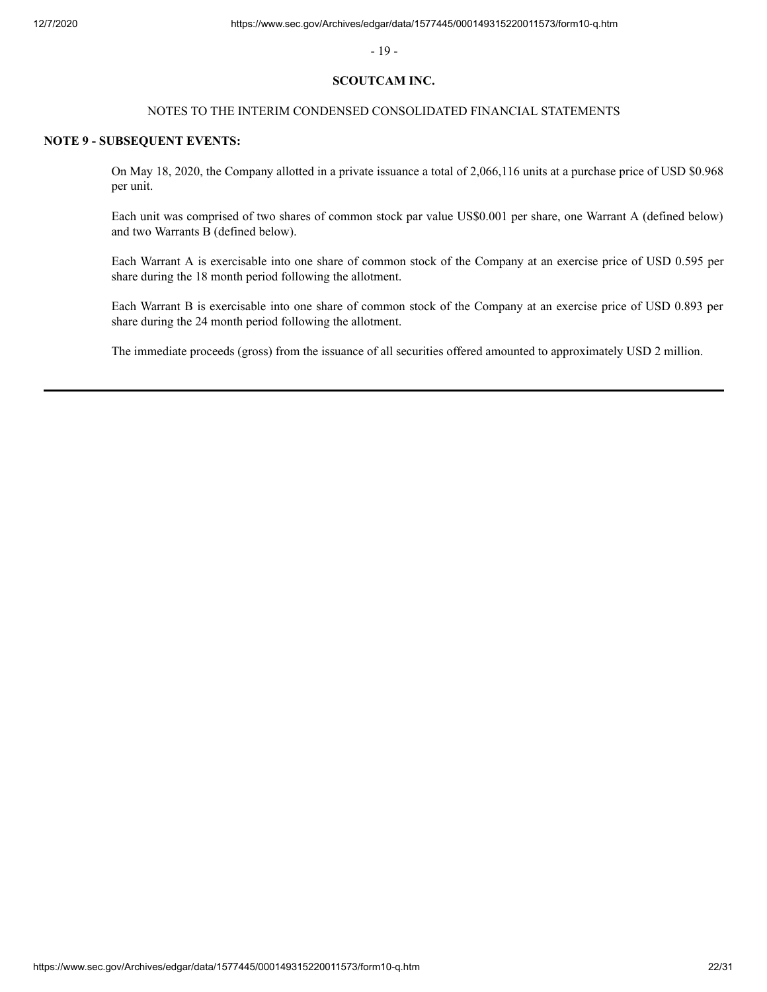- 19 -

#### **SCOUTCAM INC.**

## NOTES TO THE INTERIM CONDENSED CONSOLIDATED FINANCIAL STATEMENTS

### **NOTE 9 - SUBSEQUENT EVENTS:**

On May 18, 2020, the Company allotted in a private issuance a total of 2,066,116 units at a purchase price of USD \$0.968 per unit.

Each unit was comprised of two shares of common stock par value US\$0.001 per share, one Warrant A (defined below) and two Warrants B (defined below).

Each Warrant A is exercisable into one share of common stock of the Company at an exercise price of USD 0.595 per share during the 18 month period following the allotment.

Each Warrant B is exercisable into one share of common stock of the Company at an exercise price of USD 0.893 per share during the 24 month period following the allotment.

The immediate proceeds (gross) from the issuance of all securities offered amounted to approximately USD 2 million.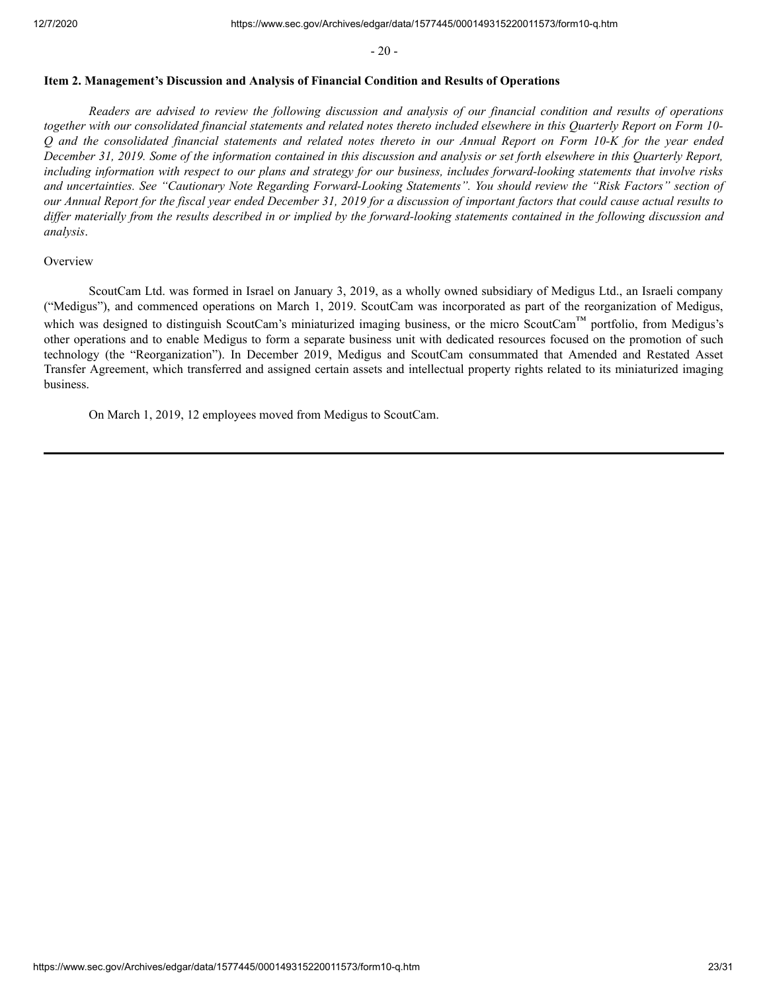$-20-$ 

#### <span id="page-22-0"></span>**Item 2. Management's Discussion and Analysis of Financial Condition and Results of Operations**

*Readers are advised to review the following discussion and analysis of our financial condition and results of operations together with our consolidated financial statements and related notes thereto included elsewhere in this Quarterly Report on Form 10- Q and the consolidated financial statements and related notes thereto in our Annual Report on Form 10-K for the year ended December 31, 2019. Some of the information contained in this discussion and analysis or set forth elsewhere in this Quarterly Report, including information with respect to our plans and strategy for our business, includes forward-looking statements that involve risks and uncertainties. See "Cautionary Note Regarding Forward-Looking Statements". You should review the "Risk Factors" section of our Annual Report for the fiscal year ended December 31, 2019 for a discussion of important factors that could cause actual results to differ materially from the results described in or implied by the forward-looking statements contained in the following discussion and analysis*.

#### **Overview**

ScoutCam Ltd. was formed in Israel on January 3, 2019, as a wholly owned subsidiary of Medigus Ltd., an Israeli company ("Medigus"), and commenced operations on March 1, 2019. ScoutCam was incorporated as part of the reorganization of Medigus, which was designed to distinguish ScoutCam's miniaturized imaging business, or the micro ScoutCam™ portfolio, from Medigus's other operations and to enable Medigus to form a separate business unit with dedicated resources focused on the promotion of such technology (the "Reorganization"). In December 2019, Medigus and ScoutCam consummated that Amended and Restated Asset Transfer Agreement, which transferred and assigned certain assets and intellectual property rights related to its miniaturized imaging business.

On March 1, 2019, 12 employees moved from Medigus to ScoutCam.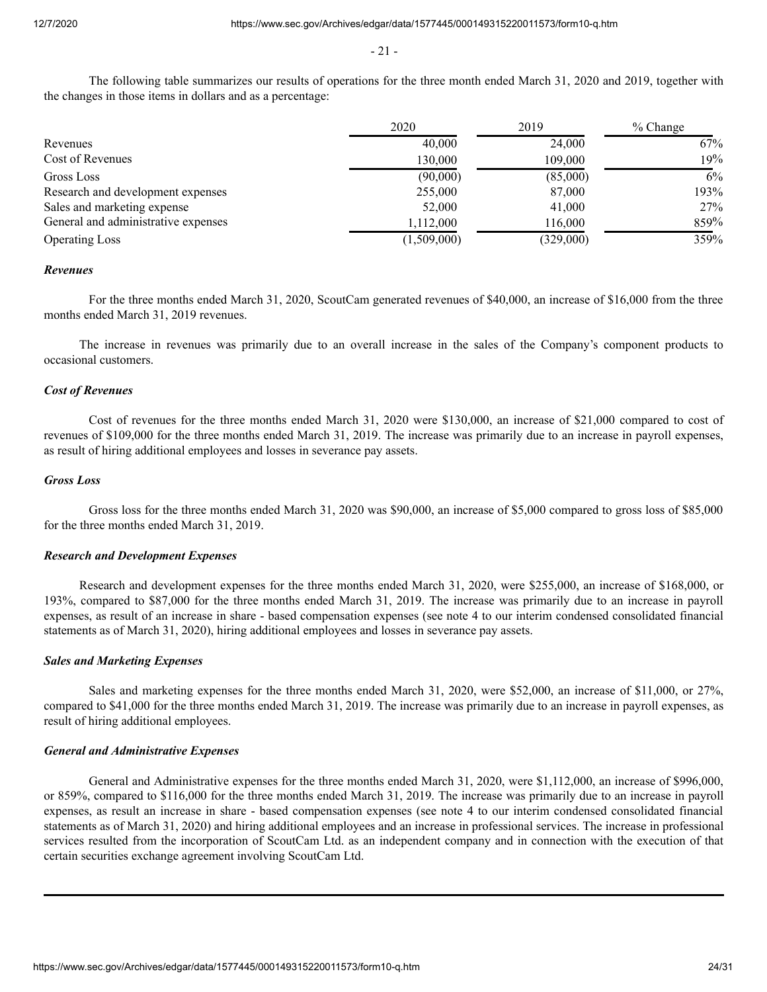- 21 -

The following table summarizes our results of operations for the three month ended March 31, 2020 and 2019, together with the changes in those items in dollars and as a percentage:

|                                     | 2020        | 2019      | % Change |
|-------------------------------------|-------------|-----------|----------|
| Revenues                            | 40,000      | 24,000    | 67%      |
| Cost of Revenues                    | 130,000     | 109,000   | 19%      |
| Gross Loss                          | (90,000)    | (85,000)  | 6%       |
| Research and development expenses   | 255,000     | 87,000    | 193%     |
| Sales and marketing expense         | 52,000      | 41,000    | 27%      |
| General and administrative expenses | 1,112,000   | 116,000   | 859%     |
| <b>Operating Loss</b>               | (1,509,000) | (329,000) | 359%     |

#### *Revenues*

For the three months ended March 31, 2020, ScoutCam generated revenues of \$40,000, an increase of \$16,000 from the three months ended March 31, 2019 revenues.

The increase in revenues was primarily due to an overall increase in the sales of the Company's component products to occasional customers.

#### *Cost of Revenues*

Cost of revenues for the three months ended March 31, 2020 were \$130,000, an increase of \$21,000 compared to cost of revenues of \$109,000 for the three months ended March 31, 2019. The increase was primarily due to an increase in payroll expenses, as result of hiring additional employees and losses in severance pay assets.

# *Gross Loss*

Gross loss for the three months ended March 31, 2020 was \$90,000, an increase of \$5,000 compared to gross loss of \$85,000 for the three months ended March 31, 2019.

#### *Research and Development Expenses*

Research and development expenses for the three months ended March 31, 2020, were \$255,000, an increase of \$168,000, or 193%, compared to \$87,000 for the three months ended March 31, 2019. The increase was primarily due to an increase in payroll expenses, as result of an increase in share - based compensation expenses (see note 4 to our interim condensed consolidated financial statements as of March 31, 2020), hiring additional employees and losses in severance pay assets.

#### *Sales and Marketing Expenses*

Sales and marketing expenses for the three months ended March 31, 2020, were \$52,000, an increase of \$11,000, or 27%, compared to \$41,000 for the three months ended March 31, 2019. The increase was primarily due to an increase in payroll expenses, as result of hiring additional employees.

#### *General and Administrative Expenses*

General and Administrative expenses for the three months ended March 31, 2020, were \$1,112,000, an increase of \$996,000, or 859%, compared to \$116,000 for the three months ended March 31, 2019. The increase was primarily due to an increase in payroll expenses, as result an increase in share - based compensation expenses (see note 4 to our interim condensed consolidated financial statements as of March 31, 2020) and hiring additional employees and an increase in professional services. The increase in professional services resulted from the incorporation of ScoutCam Ltd. as an independent company and in connection with the execution of that certain securities exchange agreement involving ScoutCam Ltd.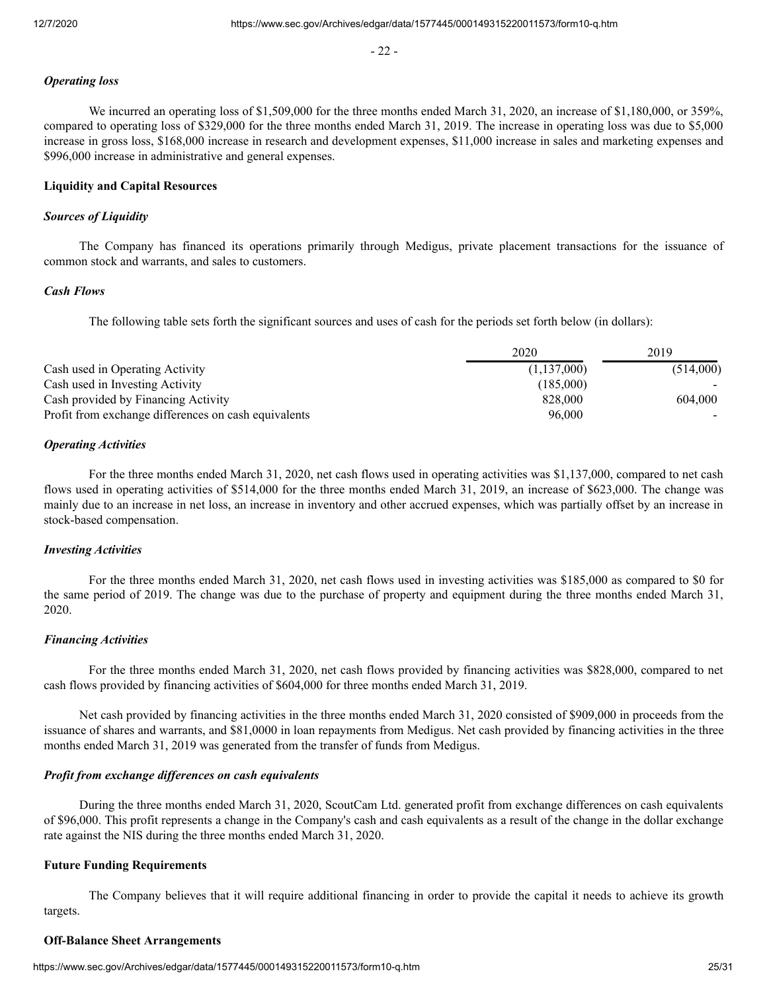- 22 -

# *Operating loss*

We incurred an operating loss of \$1,509,000 for the three months ended March 31, 2020, an increase of \$1,180,000, or 359%, compared to operating loss of \$329,000 for the three months ended March 31, 2019. The increase in operating loss was due to \$5,000 increase in gross loss, \$168,000 increase in research and development expenses, \$11,000 increase in sales and marketing expenses and \$996,000 increase in administrative and general expenses.

# **Liquidity and Capital Resources**

### *Sources of Liquidity*

The Company has financed its operations primarily through Medigus, private placement transactions for the issuance of common stock and warrants, and sales to customers.

#### *Cash Flows*

The following table sets forth the significant sources and uses of cash for the periods set forth below (in dollars):

|                                                      | 2020        | 2019      |
|------------------------------------------------------|-------------|-----------|
| Cash used in Operating Activity                      | (1,137,000) | (514,000) |
| Cash used in Investing Activity                      | (185,000)   |           |
| Cash provided by Financing Activity                  | 828,000     | 604,000   |
| Profit from exchange differences on cash equivalents | 96,000      |           |

## *Operating Activities*

For the three months ended March 31, 2020, net cash flows used in operating activities was \$1,137,000, compared to net cash flows used in operating activities of \$514,000 for the three months ended March 31, 2019, an increase of \$623,000. The change was mainly due to an increase in net loss, an increase in inventory and other accrued expenses, which was partially offset by an increase in stock-based compensation.

# *Investing Activities*

For the three months ended March 31, 2020, net cash flows used in investing activities was \$185,000 as compared to \$0 for the same period of 2019. The change was due to the purchase of property and equipment during the three months ended March 31, 2020.

## *Financing Activities*

For the three months ended March 31, 2020, net cash flows provided by financing activities was \$828,000, compared to net cash flows provided by financing activities of \$604,000 for three months ended March 31, 2019.

Net cash provided by financing activities in the three months ended March 31, 2020 consisted of \$909,000 in proceeds from the issuance of shares and warrants, and \$81,0000 in loan repayments from Medigus. Net cash provided by financing activities in the three months ended March 31, 2019 was generated from the transfer of funds from Medigus.

#### *Profit from exchange differences on cash equivalents*

During the three months ended March 31, 2020, ScoutCam Ltd. generated profit from exchange differences on cash equivalents of \$96,000. This profit represents a change in the Company's cash and cash equivalents as a result of the change in the dollar exchange rate against the NIS during the three months ended March 31, 2020.

#### **Future Funding Requirements**

The Company believes that it will require additional financing in order to provide the capital it needs to achieve its growth targets.

#### **Off-Balance Sheet Arrangements**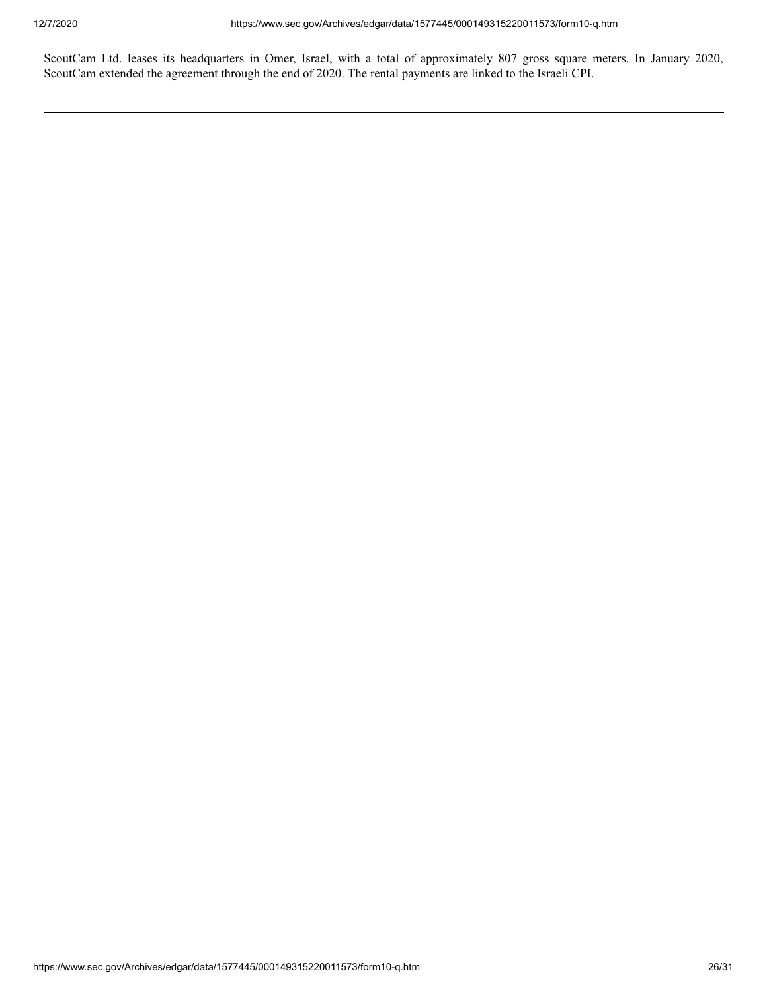ScoutCam Ltd. leases its headquarters in Omer, Israel, with a total of approximately 807 gross square meters. In January 2020, ScoutCam extended the agreement through the end of 2020. The rental payments are linked to the Israeli CPI.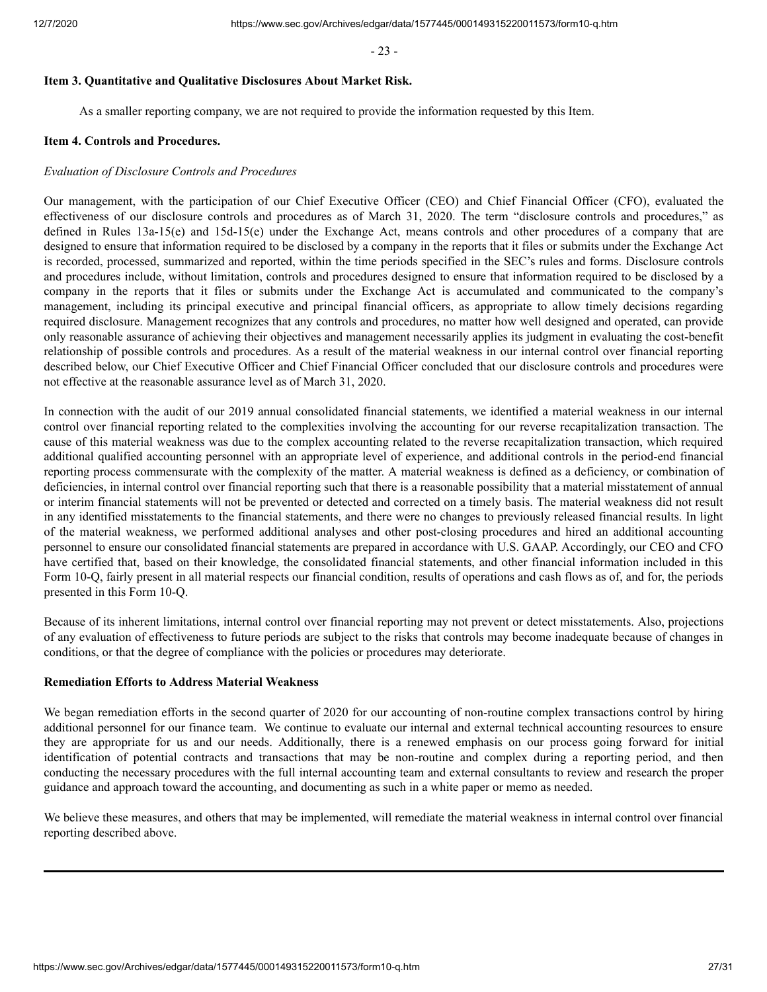- 23 -

# <span id="page-26-0"></span>**Item 3. Quantitative and Qualitative Disclosures About Market Risk.**

As a smaller reporting company, we are not required to provide the information requested by this Item.

### <span id="page-26-1"></span>**Item 4. Controls and Procedures.**

### *Evaluation of Disclosure Controls and Procedures*

Our management, with the participation of our Chief Executive Officer (CEO) and Chief Financial Officer (CFO), evaluated the effectiveness of our disclosure controls and procedures as of March 31, 2020. The term "disclosure controls and procedures," as defined in Rules 13a-15(e) and 15d-15(e) under the Exchange Act, means controls and other procedures of a company that are designed to ensure that information required to be disclosed by a company in the reports that it files or submits under the Exchange Act is recorded, processed, summarized and reported, within the time periods specified in the SEC's rules and forms. Disclosure controls and procedures include, without limitation, controls and procedures designed to ensure that information required to be disclosed by a company in the reports that it files or submits under the Exchange Act is accumulated and communicated to the company's management, including its principal executive and principal financial officers, as appropriate to allow timely decisions regarding required disclosure. Management recognizes that any controls and procedures, no matter how well designed and operated, can provide only reasonable assurance of achieving their objectives and management necessarily applies its judgment in evaluating the cost-benefit relationship of possible controls and procedures. As a result of the material weakness in our internal control over financial reporting described below, our Chief Executive Officer and Chief Financial Officer concluded that our disclosure controls and procedures were not effective at the reasonable assurance level as of March 31, 2020.

In connection with the audit of our 2019 annual consolidated financial statements, we identified a material weakness in our internal control over financial reporting related to the complexities involving the accounting for our reverse recapitalization transaction. The cause of this material weakness was due to the complex accounting related to the reverse recapitalization transaction, which required additional qualified accounting personnel with an appropriate level of experience, and additional controls in the period-end financial reporting process commensurate with the complexity of the matter. A material weakness is defined as a deficiency, or combination of deficiencies, in internal control over financial reporting such that there is a reasonable possibility that a material misstatement of annual or interim financial statements will not be prevented or detected and corrected on a timely basis. The material weakness did not result in any identified misstatements to the financial statements, and there were no changes to previously released financial results. In light of the material weakness, we performed additional analyses and other post-closing procedures and hired an additional accounting personnel to ensure our consolidated financial statements are prepared in accordance with U.S. GAAP. Accordingly, our CEO and CFO have certified that, based on their knowledge, the consolidated financial statements, and other financial information included in this Form 10-Q, fairly present in all material respects our financial condition, results of operations and cash flows as of, and for, the periods presented in this Form 10-Q.

Because of its inherent limitations, internal control over financial reporting may not prevent or detect misstatements. Also, projections of any evaluation of effectiveness to future periods are subject to the risks that controls may become inadequate because of changes in conditions, or that the degree of compliance with the policies or procedures may deteriorate.

# **Remediation Efforts to Address Material Weakness**

We began remediation efforts in the second quarter of 2020 for our accounting of non-routine complex transactions control by hiring additional personnel for our finance team. We continue to evaluate our internal and external technical accounting resources to ensure they are appropriate for us and our needs. Additionally, there is a renewed emphasis on our process going forward for initial identification of potential contracts and transactions that may be non-routine and complex during a reporting period, and then conducting the necessary procedures with the full internal accounting team and external consultants to review and research the proper guidance and approach toward the accounting, and documenting as such in a white paper or memo as needed.

We believe these measures, and others that may be implemented, will remediate the material weakness in internal control over financial reporting described above.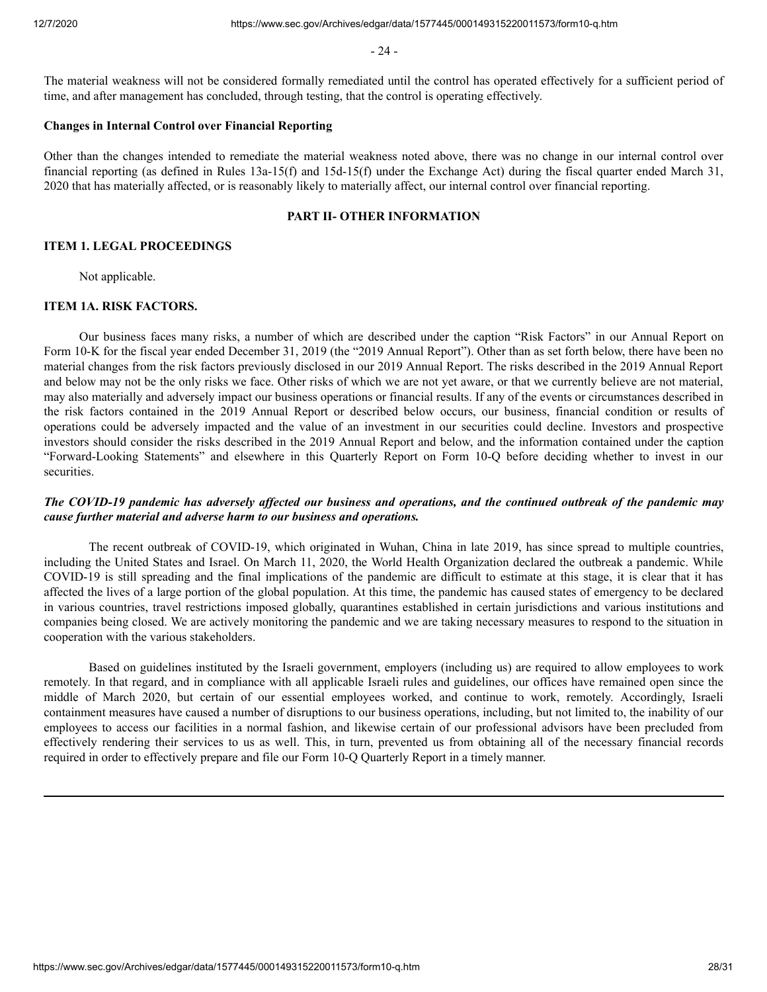- 24 -

The material weakness will not be considered formally remediated until the control has operated effectively for a sufficient period of time, and after management has concluded, through testing, that the control is operating effectively.

### **Changes in Internal Control over Financial Reporting**

Other than the changes intended to remediate the material weakness noted above, there was no change in our internal control over financial reporting (as defined in Rules 13a-15(f) and 15d-15(f) under the Exchange Act) during the fiscal quarter ended March 31, 2020 that has materially affected, or is reasonably likely to materially affect, our internal control over financial reporting.

#### **PART II- OTHER INFORMATION**

### <span id="page-27-0"></span>**ITEM 1. LEGAL PROCEEDINGS**

Not applicable.

#### <span id="page-27-1"></span>**ITEM 1A. RISK FACTORS.**

Our business faces many risks, a number of which are described under the caption "Risk Factors" in our Annual Report on Form 10-K for the fiscal year ended December 31, 2019 (the "2019 Annual Report"). Other than as set forth below, there have been no material changes from the risk factors previously disclosed in our 2019 Annual Report. The risks described in the 2019 Annual Report and below may not be the only risks we face. Other risks of which we are not yet aware, or that we currently believe are not material, may also materially and adversely impact our business operations or financial results. If any of the events or circumstances described in the risk factors contained in the 2019 Annual Report or described below occurs, our business, financial condition or results of operations could be adversely impacted and the value of an investment in our securities could decline. Investors and prospective investors should consider the risks described in the 2019 Annual Report and below, and the information contained under the caption "Forward-Looking Statements" and elsewhere in this Quarterly Report on Form 10-Q before deciding whether to invest in our securities.

# *The COVID-19 pandemic has adversely affected our business and operations, and the continued outbreak of the pandemic may cause further material and adverse harm to our business and operations.*

The recent outbreak of COVID-19, which originated in Wuhan, China in late 2019, has since spread to multiple countries, including the United States and Israel. On March 11, 2020, the World Health Organization declared the outbreak a pandemic. While COVID-19 is still spreading and the final implications of the pandemic are difficult to estimate at this stage, it is clear that it has affected the lives of a large portion of the global population. At this time, the pandemic has caused states of emergency to be declared in various countries, travel restrictions imposed globally, quarantines established in certain jurisdictions and various institutions and companies being closed. We are actively monitoring the pandemic and we are taking necessary measures to respond to the situation in cooperation with the various stakeholders.

Based on guidelines instituted by the Israeli government, employers (including us) are required to allow employees to work remotely. In that regard, and in compliance with all applicable Israeli rules and guidelines, our offices have remained open since the middle of March 2020, but certain of our essential employees worked, and continue to work, remotely. Accordingly, Israeli containment measures have caused a number of disruptions to our business operations, including, but not limited to, the inability of our employees to access our facilities in a normal fashion, and likewise certain of our professional advisors have been precluded from effectively rendering their services to us as well. This, in turn, prevented us from obtaining all of the necessary financial records required in order to effectively prepare and file our Form 10-Q Quarterly Report in a timely manner.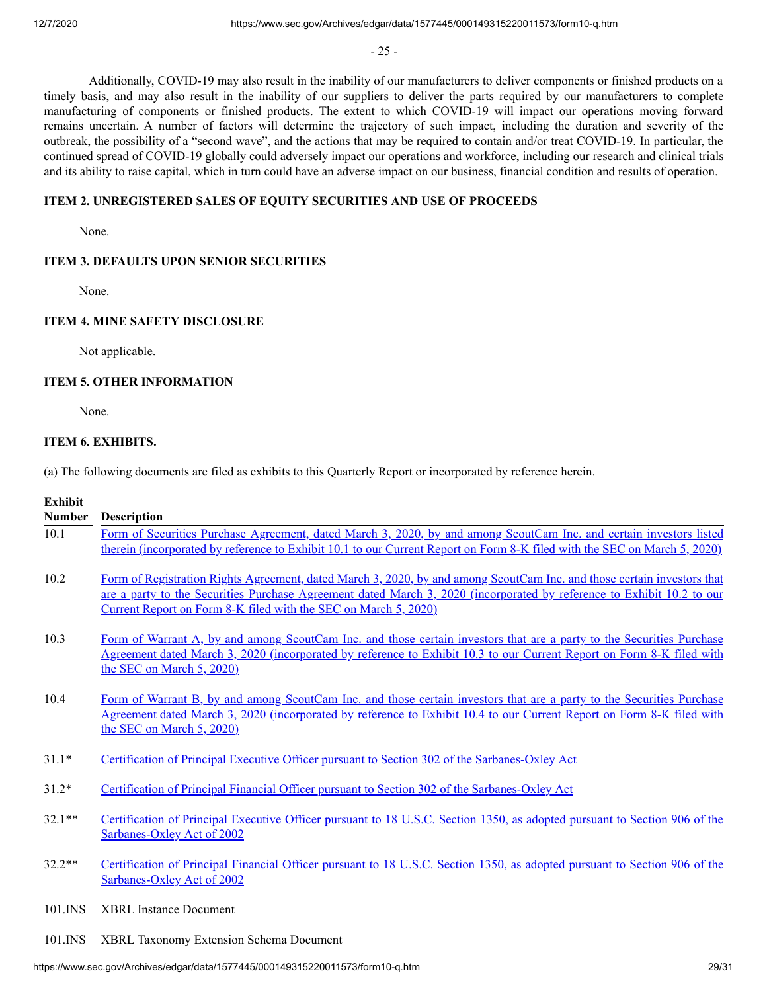- 25 -

Additionally, COVID-19 may also result in the inability of our manufacturers to deliver components or finished products on a timely basis, and may also result in the inability of our suppliers to deliver the parts required by our manufacturers to complete manufacturing of components or finished products. The extent to which COVID-19 will impact our operations moving forward remains uncertain. A number of factors will determine the trajectory of such impact, including the duration and severity of the outbreak, the possibility of a "second wave", and the actions that may be required to contain and/or treat COVID-19. In particular, the continued spread of COVID-19 globally could adversely impact our operations and workforce, including our research and clinical trials and its ability to raise capital, which in turn could have an adverse impact on our business, financial condition and results of operation.

# **ITEM 2. UNREGISTERED SALES OF EQUITY SECURITIES AND USE OF PROCEEDS**

None.

## **ITEM 3. DEFAULTS UPON SENIOR SECURITIES**

None.

# **ITEM 4. MINE SAFETY DISCLOSURE**

Not applicable.

## **ITEM 5. OTHER INFORMATION**

None.

# <span id="page-28-0"></span>**ITEM 6. EXHIBITS.**

(a) The following documents are filed as exhibits to this Quarterly Report or incorporated by reference herein.

# **Exhibit**

| <b>Number</b> | <b>Description</b>                                                                                                                                                                                                                                                                                                   |
|---------------|----------------------------------------------------------------------------------------------------------------------------------------------------------------------------------------------------------------------------------------------------------------------------------------------------------------------|
| 10.1          | Form of Securities Purchase Agreement, dated March 3, 2020, by and among ScoutCam Inc. and certain investors listed<br>therein (incorporated by reference to Exhibit 10.1 to our Current Report on Form 8-K filed with the SEC on March 5, 2020)                                                                     |
| 10.2          | Form of Registration Rights Agreement, dated March 3, 2020, by and among ScoutCam Inc. and those certain investors that<br>are a party to the Securities Purchase Agreement dated March 3, 2020 (incorporated by reference to Exhibit 10.2 to our<br>Current Report on Form 8-K filed with the SEC on March 5, 2020) |
| 10.3          | Form of Warrant A, by and among ScoutCam Inc. and those certain investors that are a party to the Securities Purchase<br>Agreement dated March 3, 2020 (incorporated by reference to Exhibit 10.3 to our Current Report on Form 8-K filed with<br>the SEC on March 5, 2020)                                          |
| 10.4          | Form of Warrant B, by and among ScoutCam Inc. and those certain investors that are a party to the Securities Purchase<br>Agreement dated March 3, 2020 (incorporated by reference to Exhibit 10.4 to our Current Report on Form 8-K filed with<br>the SEC on March 5, 2020)                                          |
| $31.1*$       | Certification of Principal Executive Officer pursuant to Section 302 of the Sarbanes-Oxley Act                                                                                                                                                                                                                       |
| $31.2*$       | Certification of Principal Financial Officer pursuant to Section 302 of the Sarbanes-Oxley Act                                                                                                                                                                                                                       |
| $32.1**$      | Certification of Principal Executive Officer pursuant to 18 U.S.C. Section 1350, as adopted pursuant to Section 906 of the<br>Sarbanes-Oxley Act of 2002                                                                                                                                                             |
| $32.2**$      | Certification of Principal Financial Officer pursuant to 18 U.S.C. Section 1350, as adopted pursuant to Section 906 of the<br>Sarbanes-Oxley Act of 2002                                                                                                                                                             |
| $101$ . INS   | <b>XBRL</b> Instance Document                                                                                                                                                                                                                                                                                        |

- 
- 101.INS XBRL Taxonomy Extension Schema Document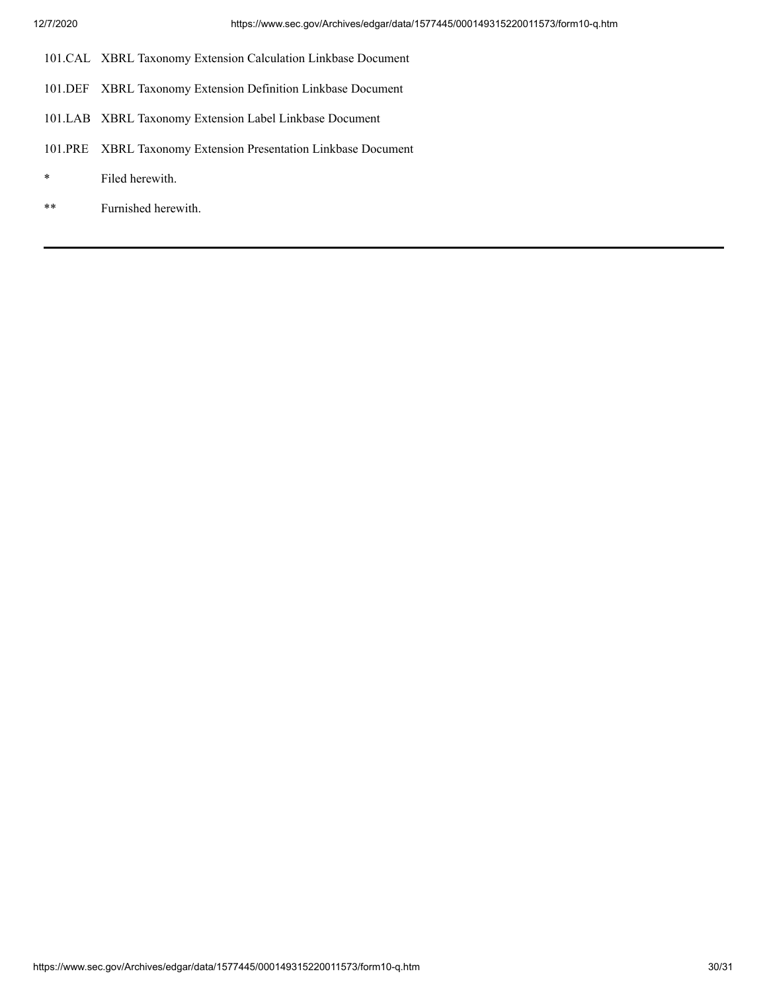- 101.CAL XBRL Taxonomy Extension Calculation Linkbase Document
- 101.DEF XBRL Taxonomy Extension Definition Linkbase Document
- 101.LAB XBRL Taxonomy Extension Label Linkbase Document
- 101.PRE XBRL Taxonomy Extension Presentation Linkbase Document
- \* Filed herewith.
- \*\* Furnished herewith.